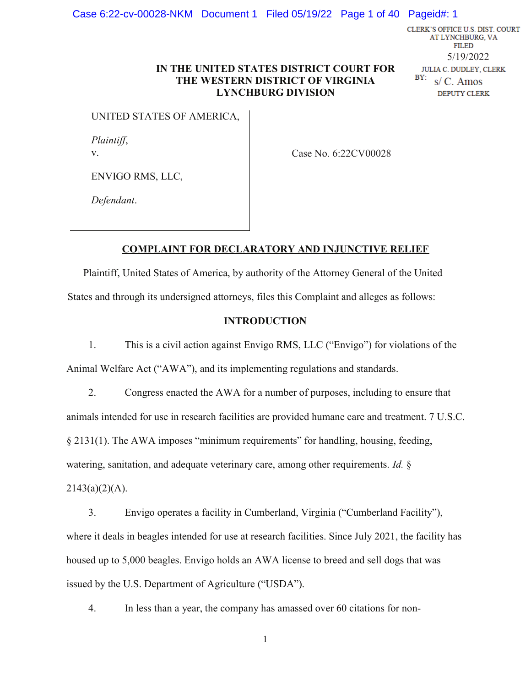CLERK'S OFFICE U.S. DIST. COURT AT LYNCHBURG, VA **FILED** 5/19/2022 **JULIA C. DUDLEY, CLERK** BY:  $s/C.$  Amos DEPUTY CLERK

## IN THE UNITED STATES DISTRICT COURT FOR THE WESTERN DISTRICT OF VIRGINIA LYNCHBURG DIVISION

UNITED STATES OF AMERICA,

*Plaintiff*, v.

Case No. 6:22CV00028

ENVIGO RMS, LLC,

*Defendant*.

## COMPLAINT FOR DECLARATORY AND INJUNCTIVE RELIEF

Plaintiff, United States of America, by authority of the Attorney General of the United States and through its undersigned attorneys, files this Complaint and alleges as follows:

### INTRODUCTION

1. This is a civil action against Envigo RMS, LLC ("Envigo") for violations of the Animal Welfare Act ("AWA"), and its implementing regulations and standards.

2. Congress enacted the AWA for a number of purposes, including to ensure that animals intended for use in research facilities are provided humane care and treatment. 7 U.S.C. § 2131(1). The AWA imposes "minimum requirements" for handling, housing, feeding, watering, sanitation, and adequate veterinary care, among other requirements. *Id.* §  $2143(a)(2)(A)$ .

3. Envigo operates a facility in Cumberland, Virginia ("Cumberland Facility"), where it deals in beagles intended for use at research facilities. Since July 2021, the facility has housed up to 5,000 beagles. Envigo holds an AWA license to breed and sell dogs that was issued by the U.S. Department of Agriculture ("USDA").

4. In less than a year, the company has amassed over 60 citations for non-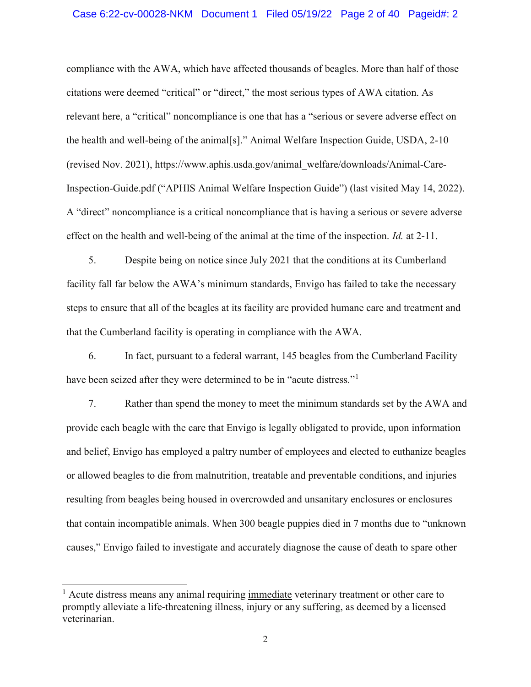compliance with the AWA, which have affected thousands of beagles. More than half of those citations were deemed "critical" or "direct," the most serious types of AWA citation. As relevant here, a "critical" noncompliance is one that has a "serious or severe adverse effect on the health and well-being of the animal[s]." Animal Welfare Inspection Guide, USDA, 2-10 (revised Nov. 2021), https://www.aphis.usda.gov/animal\_welfare/downloads/Animal-Care-Inspection-Guide.pdf ("APHIS Animal Welfare Inspection Guide") (last visited May 14, 2022). A "direct" noncompliance is a critical noncompliance that is having a serious or severe adverse effect on the health and well-being of the animal at the time of the inspection. *Id.* at 2-11.

5. Despite being on notice since July 2021 that the conditions at its Cumberland facility fall far below the AWA's minimum standards, Envigo has failed to take the necessary steps to ensure that all of the beagles at its facility are provided humane care and treatment and that the Cumberland facility is operating in compliance with the AWA.

6. In fact, pursuant to a federal warrant, 145 beagles from the Cumberland Facility have been seized after they were determined to be in "acute distress."<sup>1</sup>

7. Rather than spend the money to meet the minimum standards set by the AWA and provide each beagle with the care that Envigo is legally obligated to provide, upon information and belief, Envigo has employed a paltry number of employees and elected to euthanize beagles or allowed beagles to die from malnutrition, treatable and preventable conditions, and injuries resulting from beagles being housed in overcrowded and unsanitary enclosures or enclosures that contain incompatible animals. When 300 beagle puppies died in 7 months due to "unknown causes," Envigo failed to investigate and accurately diagnose the cause of death to spare other

<sup>&</sup>lt;sup>1</sup> Acute distress means any animal requiring immediate veterinary treatment or other care to promptly alleviate a life-threatening illness, injury or any suffering, as deemed by a licensed veterinarian.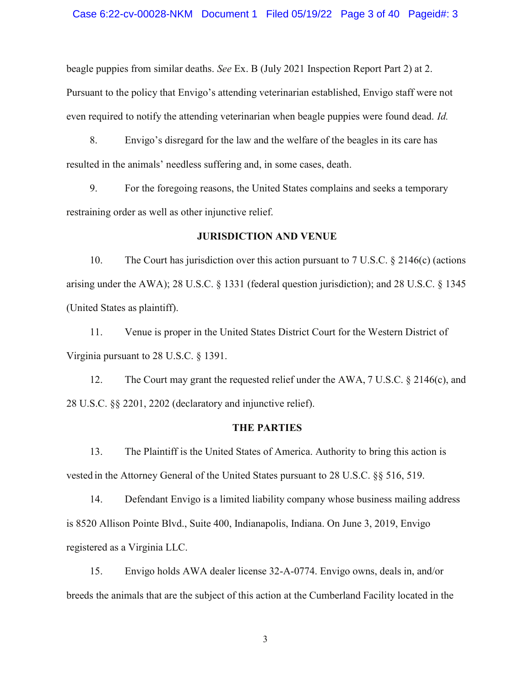beagle puppies from similar deaths. *See* Ex. B (July 2021 Inspection Report Part 2) at 2. Pursuant to the policy that Envigo's attending veterinarian established, Envigo staff were not even required to notify the attending veterinarian when beagle puppies were found dead. *Id.*

8. Envigo's disregard for the law and the welfare of the beagles in its care has resulted in the animals' needless suffering and, in some cases, death.

9. For the foregoing reasons, the United States complains and seeks a temporary restraining order as well as other injunctive relief.

#### JURISDICTION AND VENUE

10. The Court has jurisdiction over this action pursuant to 7 U.S.C. § 2146(c) (actions arising under the AWA); 28 U.S.C. § 1331 (federal question jurisdiction); and 28 U.S.C. § 1345 (United States as plaintiff).

11. Venue is proper in the United States District Court for the Western District of Virginia pursuant to 28 U.S.C. § 1391.

12. The Court may grant the requested relief under the AWA, 7 U.S.C. § 2146(c), and 28 U.S.C. §§ 2201, 2202 (declaratory and injunctive relief).

#### THE PARTIES

13. The Plaintiff is the United States of America. Authority to bring this action is vested in the Attorney General of the United States pursuant to 28 U.S.C. §§ 516, 519.

14. Defendant Envigo is a limited liability company whose business mailing address is 8520 Allison Pointe Blvd., Suite 400, Indianapolis, Indiana. On June 3, 2019, Envigo registered as a Virginia LLC.

15. Envigo holds AWA dealer license 32-A-0774. Envigo owns, deals in, and/or breeds the animals that are the subject of this action at the Cumberland Facility located in the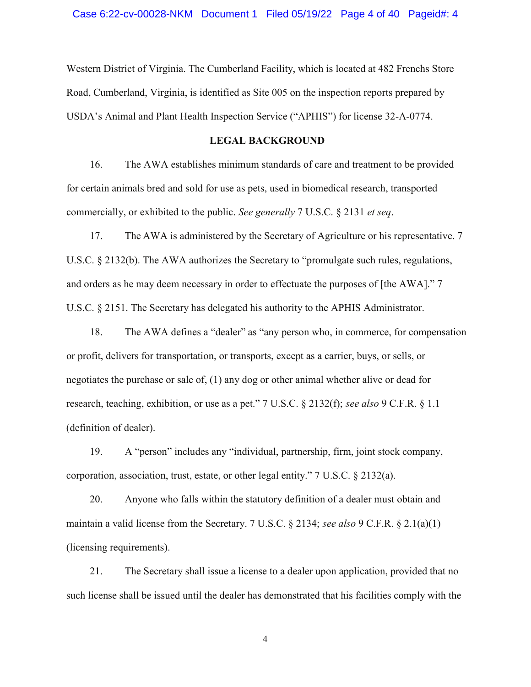Western District of Virginia. The Cumberland Facility, which is located at 482 Frenchs Store Road, Cumberland, Virginia, is identified as Site 005 on the inspection reports prepared by USDA's Animal and Plant Health Inspection Service ("APHIS") for license 32-A-0774.

#### LEGAL BACKGROUND

16. The AWA establishes minimum standards of care and treatment to be provided for certain animals bred and sold for use as pets, used in biomedical research, transported commercially, or exhibited to the public. *See generally* 7 U.S.C. § 2131 *et seq*.

17. The AWA is administered by the Secretary of Agriculture or his representative. 7 U.S.C. § 2132(b). The AWA authorizes the Secretary to "promulgate such rules, regulations, and orders as he may deem necessary in order to effectuate the purposes of [the AWA]." 7 U.S.C. § 2151. The Secretary has delegated his authority to the APHIS Administrator.

18. The AWA defines a "dealer" as "any person who, in commerce, for compensation or profit, delivers for transportation, or transports, except as a carrier, buys, or sells, or negotiates the purchase or sale of, (1) any dog or other animal whether alive or dead for research, teaching, exhibition, or use as a pet." 7 U.S.C. § 2132(f); *see also* 9 C.F.R. § 1.1 (definition of dealer).

19. A "person" includes any "individual, partnership, firm, joint stock company, corporation, association, trust, estate, or other legal entity." 7 U.S.C. § 2132(a).

20. Anyone who falls within the statutory definition of a dealer must obtain and maintain a valid license from the Secretary. 7 U.S.C. § 2134; *see also* 9 C.F.R. § 2.1(a)(1) (licensing requirements).

21. The Secretary shall issue a license to a dealer upon application, provided that no such license shall be issued until the dealer has demonstrated that his facilities comply with the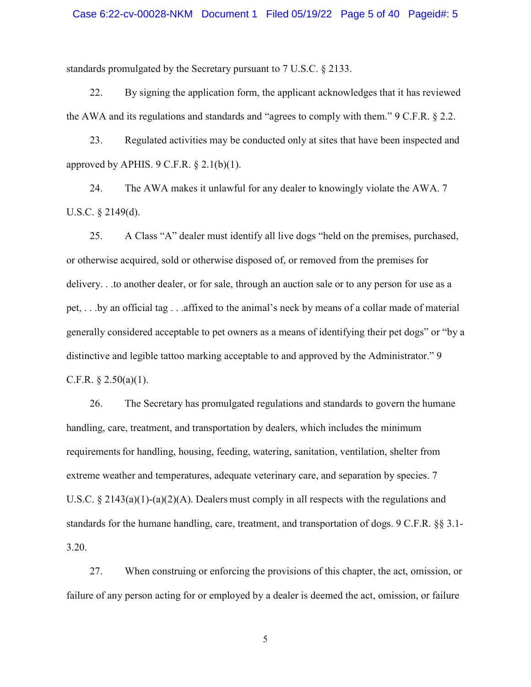#### Case 6:22-cv-00028-NKM Document 1 Filed 05/19/22 Page 5 of 40 Pageid#: 5

standards promulgated by the Secretary pursuant to 7 U.S.C. § 2133.

22. By signing the application form, the applicant acknowledges that it has reviewed the AWA and its regulations and standards and "agrees to comply with them." 9 C.F.R. § 2.2.

23. Regulated activities may be conducted only at sites that have been inspected and approved by APHIS.  $9 \text{ C.F.R.} \$   $2.1(b)(1)$ .

24. The AWA makes it unlawful for any dealer to knowingly violate the AWA. 7 U.S.C. § 2149(d).

25. A Class "A" dealer must identify all live dogs "held on the premises, purchased, or otherwise acquired, sold or otherwise disposed of, or removed from the premises for delivery. . .to another dealer, or for sale, through an auction sale or to any person for use as a pet, . . .by an official tag . . .affixed to the animal's neck by means of a collar made of material generally considered acceptable to pet owners as a means of identifying their pet dogs" or "by a distinctive and legible tattoo marking acceptable to and approved by the Administrator." 9 C.F.R.  $\S 2.50(a)(1)$ .

26. The Secretary has promulgated regulations and standards to govern the humane handling, care, treatment, and transportation by dealers, which includes the minimum requirements for handling, housing, feeding, watering, sanitation, ventilation, shelter from extreme weather and temperatures, adequate veterinary care, and separation by species. 7 U.S.C.  $\S 2143(a)(1)-(a)(2)(A)$ . Dealers must comply in all respects with the regulations and standards for the humane handling, care, treatment, and transportation of dogs. 9 C.F.R. §§ 3.1- 3.20.

27. When construing or enforcing the provisions of this chapter, the act, omission, or failure of any person acting for or employed by a dealer is deemed the act, omission, or failure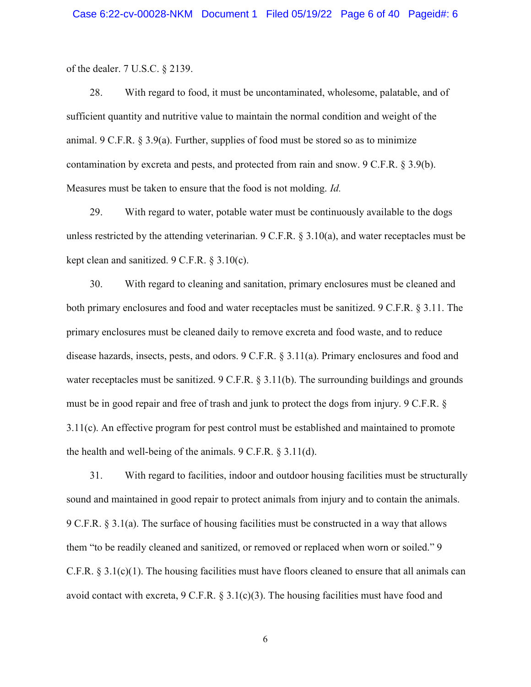of the dealer. 7 U.S.C. § 2139.

28. With regard to food, it must be uncontaminated, wholesome, palatable, and of sufficient quantity and nutritive value to maintain the normal condition and weight of the animal. 9 C.F.R.  $\S 3.9(a)$ . Further, supplies of food must be stored so as to minimize contamination by excreta and pests, and protected from rain and snow. 9 C.F.R. § 3.9(b). Measures must be taken to ensure that the food is not molding. *Id.*

29. With regard to water, potable water must be continuously available to the dogs unless restricted by the attending veterinarian. 9 C.F.R. § 3.10(a), and water receptacles must be kept clean and sanitized. 9 C.F.R. § 3.10(c).

30. With regard to cleaning and sanitation, primary enclosures must be cleaned and both primary enclosures and food and water receptacles must be sanitized. 9 C.F.R. § 3.11. The primary enclosures must be cleaned daily to remove excreta and food waste, and to reduce disease hazards, insects, pests, and odors. 9 C.F.R. § 3.11(a). Primary enclosures and food and water receptacles must be sanitized. 9 C.F.R. § 3.11(b). The surrounding buildings and grounds must be in good repair and free of trash and junk to protect the dogs from injury. 9 C.F.R. § 3.11(c). An effective program for pest control must be established and maintained to promote the health and well-being of the animals. 9 C.F.R. § 3.11(d).

31. With regard to facilities, indoor and outdoor housing facilities must be structurally sound and maintained in good repair to protect animals from injury and to contain the animals. 9 C.F.R. § 3.1(a). The surface of housing facilities must be constructed in a way that allows them "to be readily cleaned and sanitized, or removed or replaced when worn or soiled." 9 C.F.R.  $\S 3.1(c)(1)$ . The housing facilities must have floors cleaned to ensure that all animals can avoid contact with excreta,  $9 \text{ C.F.R.} \$  $3.1(c)(3)$ . The housing facilities must have food and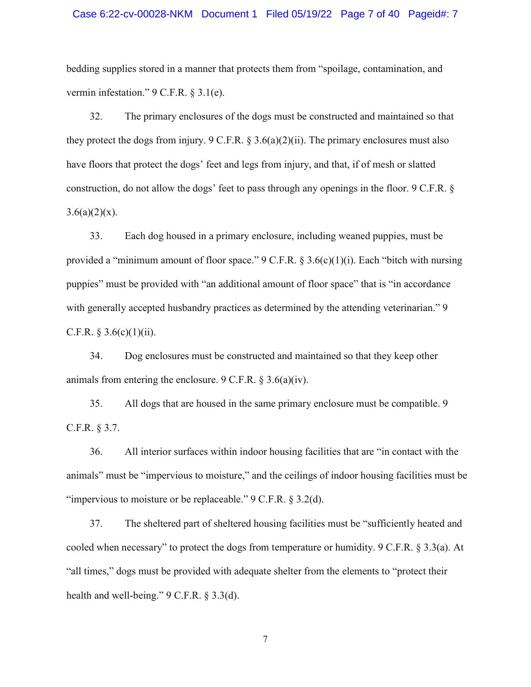#### Case 6:22-cv-00028-NKM Document 1 Filed 05/19/22 Page 7 of 40 Pageid#: 7

bedding supplies stored in a manner that protects them from "spoilage, contamination, and vermin infestation." 9 C.F.R. § 3.1(e).

32. The primary enclosures of the dogs must be constructed and maintained so that they protect the dogs from injury.  $9 \text{ C.F.R. }$  § 3.6(a)(2)(ii). The primary enclosures must also have floors that protect the dogs' feet and legs from injury, and that, if of mesh or slatted construction, do not allow the dogs' feet to pass through any openings in the floor. 9 C.F.R. §  $3.6(a)(2)(x)$ .

33. Each dog housed in a primary enclosure, including weaned puppies, must be provided a "minimum amount of floor space." 9 C.F.R.  $\S 3.6(c)(1)(i)$ . Each "bitch with nursing puppies" must be provided with "an additional amount of floor space" that is "in accordance with generally accepted husbandry practices as determined by the attending veterinarian." 9 C.F.R.  $§ 3.6(c)(1)(ii)$ .

34. Dog enclosures must be constructed and maintained so that they keep other animals from entering the enclosure. 9 C.F.R. § 3.6(a)(iv).

35. All dogs that are housed in the same primary enclosure must be compatible. 9 C.F.R. § 3.7.

36. All interior surfaces within indoor housing facilities that are "in contact with the animals" must be "impervious to moisture," and the ceilings of indoor housing facilities must be "impervious to moisture or be replaceable." 9 C.F.R. § 3.2(d).

37. The sheltered part of sheltered housing facilities must be "sufficiently heated and cooled when necessary" to protect the dogs from temperature or humidity. 9 C.F.R. § 3.3(a). At "all times," dogs must be provided with adequate shelter from the elements to "protect their health and well-being." 9 C.F.R. § 3.3(d).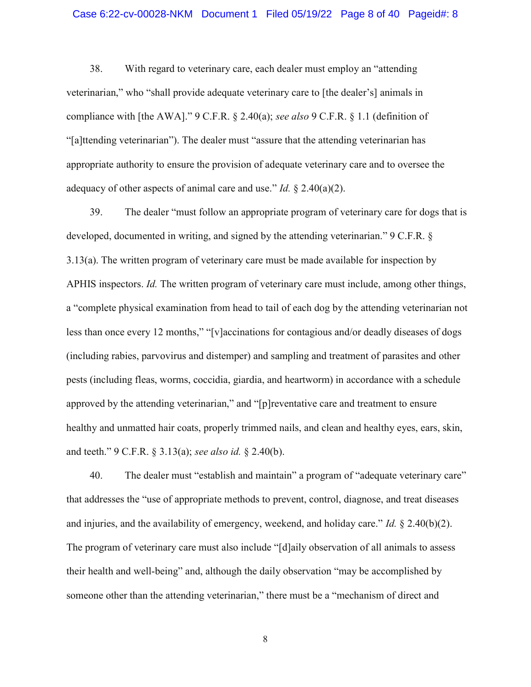#### Case 6:22-cv-00028-NKM Document 1 Filed 05/19/22 Page 8 of 40 Pageid#: 8

38. With regard to veterinary care, each dealer must employ an "attending veterinarian," who "shall provide adequate veterinary care to [the dealer's] animals in compliance with [the AWA]." 9 C.F.R. § 2.40(a); *see also* 9 C.F.R. § 1.1 (definition of "[a]ttending veterinarian"). The dealer must "assure that the attending veterinarian has appropriate authority to ensure the provision of adequate veterinary care and to oversee the adequacy of other aspects of animal care and use." *Id.* § 2.40(a)(2).

39. The dealer "must follow an appropriate program of veterinary care for dogs that is developed, documented in writing, and signed by the attending veterinarian." 9 C.F.R. § 3.13(a). The written program of veterinary care must be made available for inspection by APHIS inspectors. *Id.* The written program of veterinary care must include, among other things, a "complete physical examination from head to tail of each dog by the attending veterinarian not less than once every 12 months," "[v]accinations for contagious and/or deadly diseases of dogs (including rabies, parvovirus and distemper) and sampling and treatment of parasites and other pests (including fleas, worms, coccidia, giardia, and heartworm) in accordance with a schedule approved by the attending veterinarian," and "[p]reventative care and treatment to ensure healthy and unmatted hair coats, properly trimmed nails, and clean and healthy eyes, ears, skin, and teeth." 9 C.F.R. § 3.13(a); *see also id.* § 2.40(b).

40. The dealer must "establish and maintain" a program of "adequate veterinary care" that addresses the "use of appropriate methods to prevent, control, diagnose, and treat diseases and injuries, and the availability of emergency, weekend, and holiday care." *Id.* § 2.40(b)(2). The program of veterinary care must also include "[d]aily observation of all animals to assess their health and well-being" and, although the daily observation "may be accomplished by someone other than the attending veterinarian," there must be a "mechanism of direct and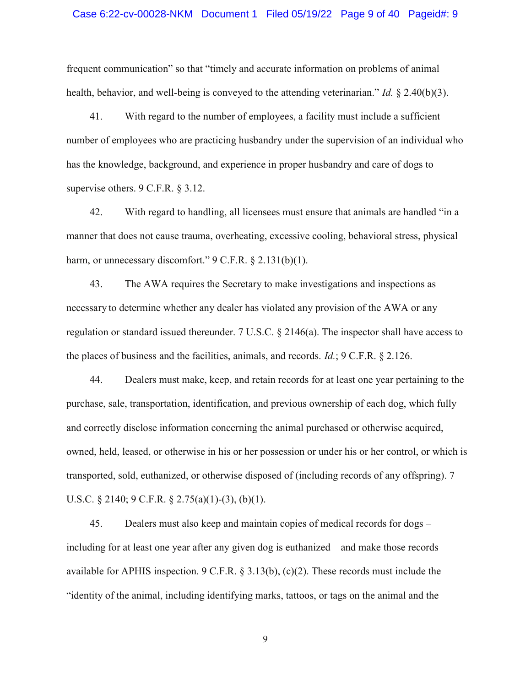frequent communication" so that "timely and accurate information on problems of animal health, behavior, and well-being is conveyed to the attending veterinarian." *Id.* § 2.40(b)(3).

41. With regard to the number of employees, a facility must include a sufficient number of employees who are practicing husbandry under the supervision of an individual who has the knowledge, background, and experience in proper husbandry and care of dogs to supervise others. 9 C.F.R. § 3.12.

42. With regard to handling, all licensees must ensure that animals are handled "in a manner that does not cause trauma, overheating, excessive cooling, behavioral stress, physical harm, or unnecessary discomfort." 9 C.F.R. § 2.131(b)(1).

43. The AWA requires the Secretary to make investigations and inspections as necessary to determine whether any dealer has violated any provision of the AWA or any regulation or standard issued thereunder. 7 U.S.C. § 2146(a). The inspector shall have access to the places of business and the facilities, animals, and records. *Id.*; 9 C.F.R. § 2.126.

44. Dealers must make, keep, and retain records for at least one year pertaining to the purchase, sale, transportation, identification, and previous ownership of each dog, which fully and correctly disclose information concerning the animal purchased or otherwise acquired, owned, held, leased, or otherwise in his or her possession or under his or her control, or which is transported, sold, euthanized, or otherwise disposed of (including records of any offspring). 7 U.S.C. § 2140; 9 C.F.R. § 2.75(a)(1)-(3), (b)(1).

45. Dealers must also keep and maintain copies of medical records for dogs – including for at least one year after any given dog is euthanized—and make those records available for APHIS inspection. 9 C.F.R.  $\S 3.13(b)$ , (c)(2). These records must include the "identity of the animal, including identifying marks, tattoos, or tags on the animal and the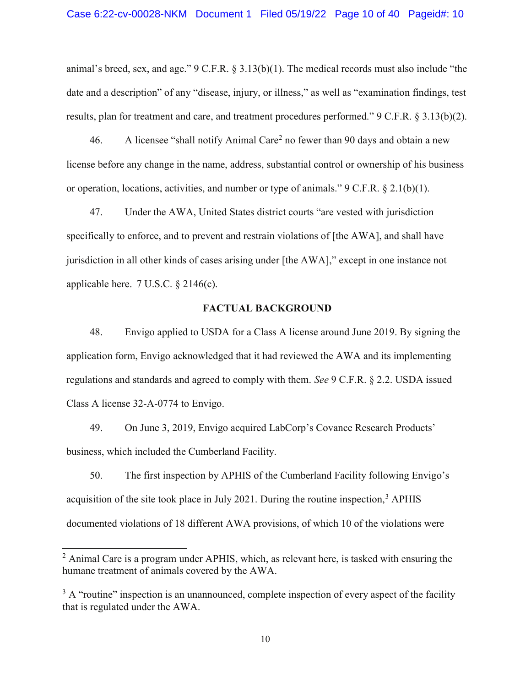animal's breed, sex, and age." 9 C.F.R. § 3.13(b)(1). The medical records must also include "the date and a description" of any "disease, injury, or illness," as well as "examination findings, test results, plan for treatment and care, and treatment procedures performed." 9 C.F.R. § 3.13(b)(2).

46. A licensee "shall notify Animal Care<sup>2</sup> no fewer than 90 days and obtain a new license before any change in the name, address, substantial control or ownership of his business or operation, locations, activities, and number or type of animals." 9 C.F.R. § 2.1(b)(1).

47. Under the AWA, United States district courts "are vested with jurisdiction specifically to enforce, and to prevent and restrain violations of [the AWA], and shall have jurisdiction in all other kinds of cases arising under [the AWA]," except in one instance not applicable here. 7 U.S.C. § 2146(c).

#### FACTUAL BACKGROUND

48. Envigo applied to USDA for a Class A license around June 2019. By signing the application form, Envigo acknowledged that it had reviewed the AWA and its implementing regulations and standards and agreed to comply with them. *See* 9 C.F.R. § 2.2. USDA issued Class A license 32-A-0774 to Envigo.

49. On June 3, 2019, Envigo acquired LabCorp's Covance Research Products' business, which included the Cumberland Facility.

50. The first inspection by APHIS of the Cumberland Facility following Envigo's acquisition of the site took place in July 2021. During the routine inspection,  $3$  APHIS documented violations of 18 different AWA provisions, of which 10 of the violations were

 $2$  Animal Care is a program under APHIS, which, as relevant here, is tasked with ensuring the humane treatment of animals covered by the AWA.

 $3 A$  "routine" inspection is an unannounced, complete inspection of every aspect of the facility that is regulated under the AWA.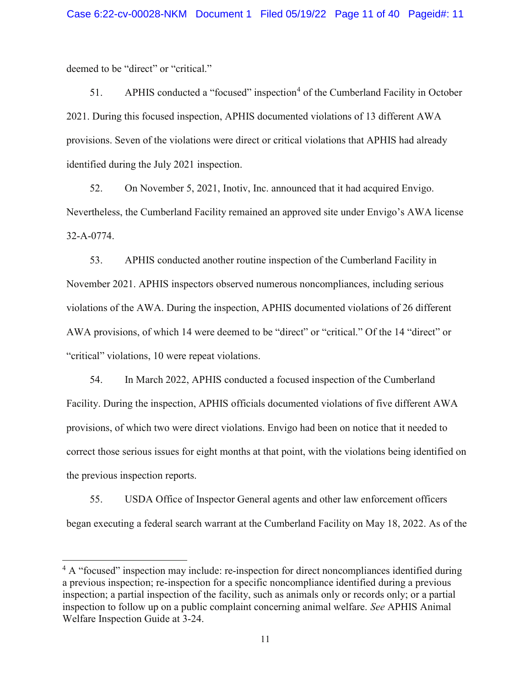deemed to be "direct" or "critical."

51. APHIS conducted a "focused" inspection<sup>4</sup> of the Cumberland Facility in October 2021. During this focused inspection, APHIS documented violations of 13 different AWA provisions. Seven of the violations were direct or critical violations that APHIS had already identified during the July 2021 inspection.

52. On November 5, 2021, Inotiv, Inc. announced that it had acquired Envigo. Nevertheless, the Cumberland Facility remained an approved site under Envigo's AWA license 32-A-0774.

53. APHIS conducted another routine inspection of the Cumberland Facility in November 2021. APHIS inspectors observed numerous noncompliances, including serious violations of the AWA. During the inspection, APHIS documented violations of 26 different AWA provisions, of which 14 were deemed to be "direct" or "critical." Of the 14 "direct" or "critical" violations, 10 were repeat violations.

54. In March 2022, APHIS conducted a focused inspection of the Cumberland Facility. During the inspection, APHIS officials documented violations of five different AWA provisions, of which two were direct violations. Envigo had been on notice that it needed to correct those serious issues for eight months at that point, with the violations being identified on the previous inspection reports.

55. USDA Office of Inspector General agents and other law enforcement officers began executing a federal search warrant at the Cumberland Facility on May 18, 2022. As of the

<sup>&</sup>lt;sup>4</sup> A "focused" inspection may include: re-inspection for direct noncompliances identified during a previous inspection; re-inspection for a specific noncompliance identified during a previous inspection; a partial inspection of the facility, such as animals only or records only; or a partial inspection to follow up on a public complaint concerning animal welfare. *See* APHIS Animal Welfare Inspection Guide at 3-24.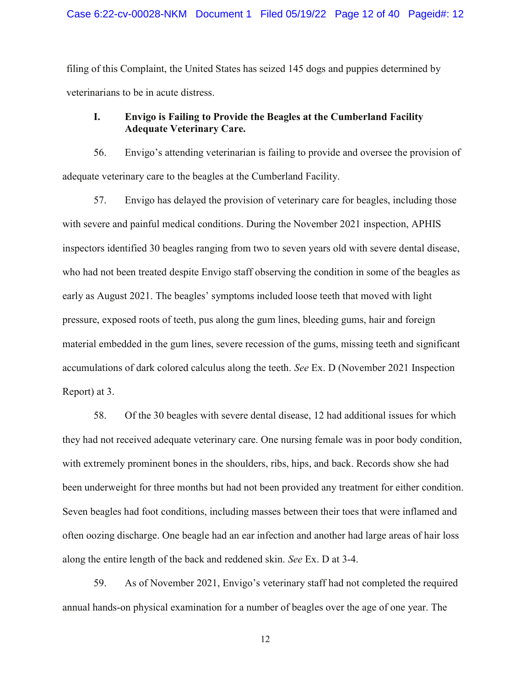filing of this Complaint, the United States has seized 145 dogs and puppies determined by veterinarians to be in acute distress.

# I. Envigo is Failing to Provide the Beagles at the Cumberland Facility Adequate Veterinary Care.

56. Envigo's attending veterinarian is failing to provide and oversee the provision of adequate veterinary care to the beagles at the Cumberland Facility.

57. Envigo has delayed the provision of veterinary care for beagles, including those with severe and painful medical conditions. During the November 2021 inspection, APHIS inspectors identified 30 beagles ranging from two to seven years old with severe dental disease, who had not been treated despite Envigo staff observing the condition in some of the beagles as early as August 2021. The beagles' symptoms included loose teeth that moved with light pressure, exposed roots of teeth, pus along the gum lines, bleeding gums, hair and foreign material embedded in the gum lines, severe recession of the gums, missing teeth and significant accumulations of dark colored calculus along the teeth. *See* Ex. D (November 2021 Inspection Report) at 3.

58. Of the 30 beagles with severe dental disease, 12 had additional issues for which they had not received adequate veterinary care. One nursing female was in poor body condition, with extremely prominent bones in the shoulders, ribs, hips, and back. Records show she had been underweight for three months but had not been provided any treatment for either condition. Seven beagles had foot conditions, including masses between their toes that were inflamed and often oozing discharge. One beagle had an ear infection and another had large areas of hair loss along the entire length of the back and reddened skin. *See* Ex. D at 3-4.

59. As of November 2021, Envigo's veterinary staff had not completed the required annual hands-on physical examination for a number of beagles over the age of one year. The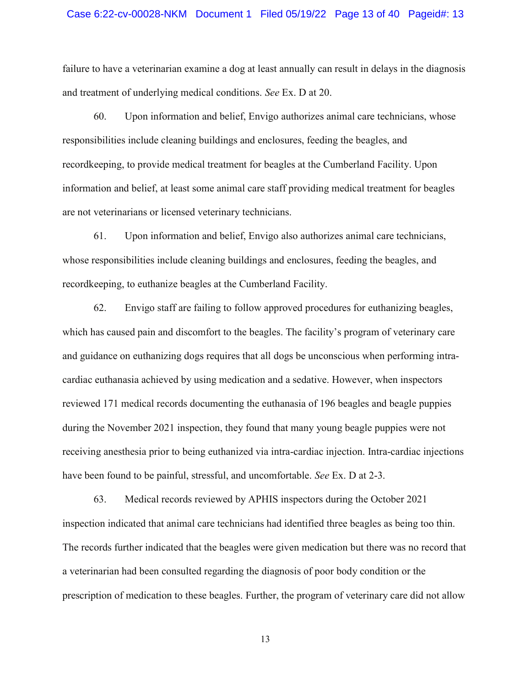#### Case 6:22-cv-00028-NKM Document 1 Filed 05/19/22 Page 13 of 40 Pageid#: 13

failure to have a veterinarian examine a dog at least annually can result in delays in the diagnosis and treatment of underlying medical conditions. *See* Ex. D at 20.

60. Upon information and belief, Envigo authorizes animal care technicians, whose responsibilities include cleaning buildings and enclosures, feeding the beagles, and recordkeeping, to provide medical treatment for beagles at the Cumberland Facility. Upon information and belief, at least some animal care staff providing medical treatment for beagles are not veterinarians or licensed veterinary technicians.

61. Upon information and belief, Envigo also authorizes animal care technicians, whose responsibilities include cleaning buildings and enclosures, feeding the beagles, and recordkeeping, to euthanize beagles at the Cumberland Facility.

62. Envigo staff are failing to follow approved procedures for euthanizing beagles, which has caused pain and discomfort to the beagles. The facility's program of veterinary care and guidance on euthanizing dogs requires that all dogs be unconscious when performing intracardiac euthanasia achieved by using medication and a sedative. However, when inspectors reviewed 171 medical records documenting the euthanasia of 196 beagles and beagle puppies during the November 2021 inspection, they found that many young beagle puppies were not receiving anesthesia prior to being euthanized via intra-cardiac injection. Intra-cardiac injections have been found to be painful, stressful, and uncomfortable. *See* Ex. D at 2-3.

63. Medical records reviewed by APHIS inspectors during the October 2021 inspection indicated that animal care technicians had identified three beagles as being too thin. The records further indicated that the beagles were given medication but there was no record that a veterinarian had been consulted regarding the diagnosis of poor body condition or the prescription of medication to these beagles. Further, the program of veterinary care did not allow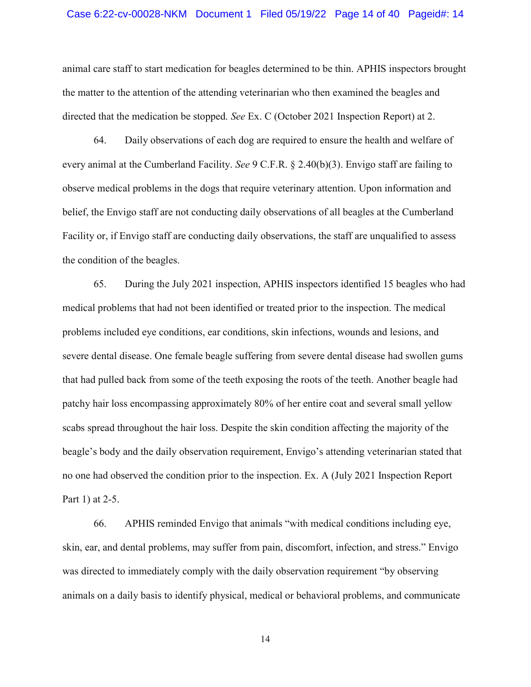#### Case 6:22-cv-00028-NKM Document 1 Filed 05/19/22 Page 14 of 40 Pageid#: 14

animal care staff to start medication for beagles determined to be thin. APHIS inspectors brought the matter to the attention of the attending veterinarian who then examined the beagles and directed that the medication be stopped. *See* Ex. C (October 2021 Inspection Report) at 2.

64. Daily observations of each dog are required to ensure the health and welfare of every animal at the Cumberland Facility. *See* 9 C.F.R. § 2.40(b)(3). Envigo staff are failing to observe medical problems in the dogs that require veterinary attention. Upon information and belief, the Envigo staff are not conducting daily observations of all beagles at the Cumberland Facility or, if Envigo staff are conducting daily observations, the staff are unqualified to assess the condition of the beagles.

65. During the July 2021 inspection, APHIS inspectors identified 15 beagles who had medical problems that had not been identified or treated prior to the inspection. The medical problems included eye conditions, ear conditions, skin infections, wounds and lesions, and severe dental disease. One female beagle suffering from severe dental disease had swollen gums that had pulled back from some of the teeth exposing the roots of the teeth. Another beagle had patchy hair loss encompassing approximately 80% of her entire coat and several small yellow scabs spread throughout the hair loss. Despite the skin condition affecting the majority of the beagle's body and the daily observation requirement, Envigo's attending veterinarian stated that no one had observed the condition prior to the inspection. Ex. A (July 2021 Inspection Report Part 1) at 2-5.

66. APHIS reminded Envigo that animals "with medical conditions including eye, skin, ear, and dental problems, may suffer from pain, discomfort, infection, and stress." Envigo was directed to immediately comply with the daily observation requirement "by observing animals on a daily basis to identify physical, medical or behavioral problems, and communicate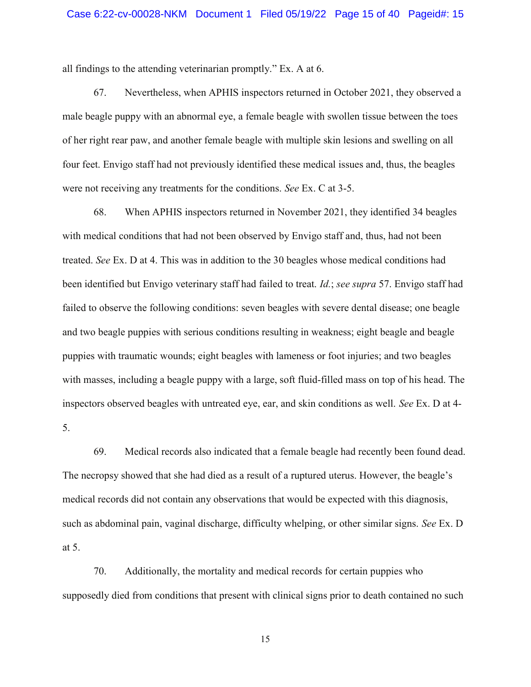all findings to the attending veterinarian promptly." Ex. A at 6.

67. Nevertheless, when APHIS inspectors returned in October 2021, they observed a male beagle puppy with an abnormal eye, a female beagle with swollen tissue between the toes of her right rear paw, and another female beagle with multiple skin lesions and swelling on all four feet. Envigo staff had not previously identified these medical issues and, thus, the beagles were not receiving any treatments for the conditions. *See* Ex. C at 3-5.

68. When APHIS inspectors returned in November 2021, they identified 34 beagles with medical conditions that had not been observed by Envigo staff and, thus, had not been treated. *See* Ex. D at 4. This was in addition to the 30 beagles whose medical conditions had been identified but Envigo veterinary staff had failed to treat. *Id.*; *see supra* 57. Envigo staff had failed to observe the following conditions: seven beagles with severe dental disease; one beagle and two beagle puppies with serious conditions resulting in weakness; eight beagle and beagle puppies with traumatic wounds; eight beagles with lameness or foot injuries; and two beagles with masses, including a beagle puppy with a large, soft fluid-filled mass on top of his head. The inspectors observed beagles with untreated eye, ear, and skin conditions as well. *See* Ex. D at 4- 5.

69. Medical records also indicated that a female beagle had recently been found dead. The necropsy showed that she had died as a result of a ruptured uterus. However, the beagle's medical records did not contain any observations that would be expected with this diagnosis, such as abdominal pain, vaginal discharge, difficulty whelping, or other similar signs. *See* Ex. D at 5.

70. Additionally, the mortality and medical records for certain puppies who supposedly died from conditions that present with clinical signs prior to death contained no such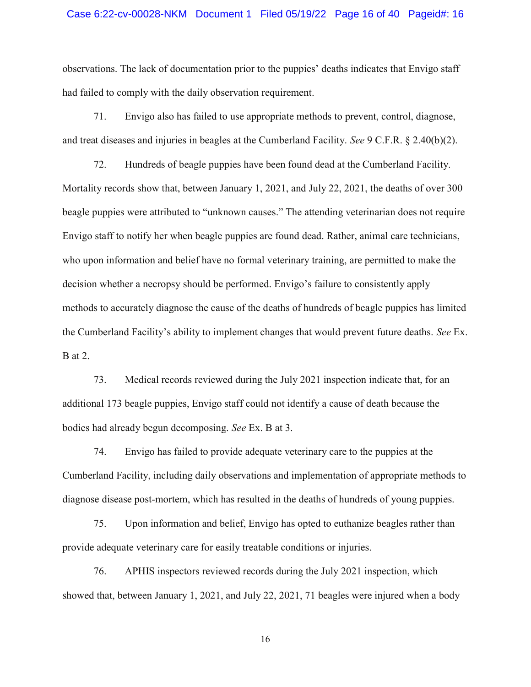#### Case 6:22-cv-00028-NKM Document 1 Filed 05/19/22 Page 16 of 40 Pageid#: 16

observations. The lack of documentation prior to the puppies' deaths indicates that Envigo staff had failed to comply with the daily observation requirement.

71. Envigo also has failed to use appropriate methods to prevent, control, diagnose, and treat diseases and injuries in beagles at the Cumberland Facility. *See* 9 C.F.R. § 2.40(b)(2).

72. Hundreds of beagle puppies have been found dead at the Cumberland Facility. Mortality records show that, between January 1, 2021, and July 22, 2021, the deaths of over 300 beagle puppies were attributed to "unknown causes." The attending veterinarian does not require Envigo staff to notify her when beagle puppies are found dead. Rather, animal care technicians, who upon information and belief have no formal veterinary training, are permitted to make the decision whether a necropsy should be performed. Envigo's failure to consistently apply methods to accurately diagnose the cause of the deaths of hundreds of beagle puppies has limited the Cumberland Facility's ability to implement changes that would prevent future deaths. *See* Ex. B at 2.

73. Medical records reviewed during the July 2021 inspection indicate that, for an additional 173 beagle puppies, Envigo staff could not identify a cause of death because the bodies had already begun decomposing. *See* Ex. B at 3.

74. Envigo has failed to provide adequate veterinary care to the puppies at the Cumberland Facility, including daily observations and implementation of appropriate methods to diagnose disease post-mortem, which has resulted in the deaths of hundreds of young puppies.

75. Upon information and belief, Envigo has opted to euthanize beagles rather than provide adequate veterinary care for easily treatable conditions or injuries.

76. APHIS inspectors reviewed records during the July 2021 inspection, which showed that, between January 1, 2021, and July 22, 2021, 71 beagles were injured when a body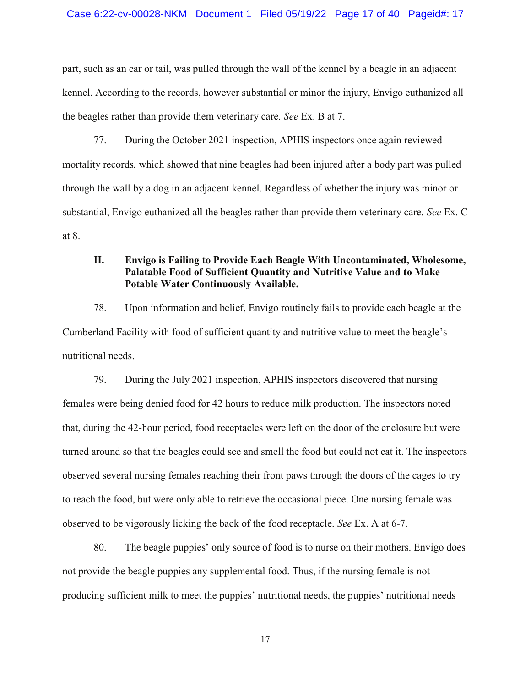part, such as an ear or tail, was pulled through the wall of the kennel by a beagle in an adjacent kennel. According to the records, however substantial or minor the injury, Envigo euthanized all the beagles rather than provide them veterinary care. *See* Ex. B at 7.

77. During the October 2021 inspection, APHIS inspectors once again reviewed mortality records, which showed that nine beagles had been injured after a body part was pulled through the wall by a dog in an adjacent kennel. Regardless of whether the injury was minor or substantial, Envigo euthanized all the beagles rather than provide them veterinary care. *See* Ex. C at 8.

## II. Envigo is Failing to Provide Each Beagle With Uncontaminated, Wholesome, Palatable Food of Sufficient Quantity and Nutritive Value and to Make Potable Water Continuously Available.

78. Upon information and belief, Envigo routinely fails to provide each beagle at the Cumberland Facility with food of sufficient quantity and nutritive value to meet the beagle's nutritional needs.

79. During the July 2021 inspection, APHIS inspectors discovered that nursing females were being denied food for 42 hours to reduce milk production. The inspectors noted that, during the 42-hour period, food receptacles were left on the door of the enclosure but were turned around so that the beagles could see and smell the food but could not eat it. The inspectors observed several nursing females reaching their front paws through the doors of the cages to try to reach the food, but were only able to retrieve the occasional piece. One nursing female was observed to be vigorously licking the back of the food receptacle. *See* Ex. A at 6-7.

80. The beagle puppies' only source of food is to nurse on their mothers. Envigo does not provide the beagle puppies any supplemental food. Thus, if the nursing female is not producing sufficient milk to meet the puppies' nutritional needs, the puppies' nutritional needs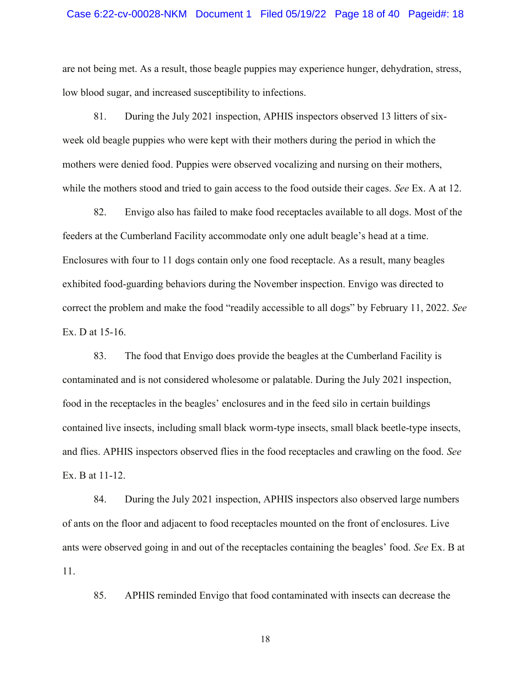#### Case 6:22-cv-00028-NKM Document 1 Filed 05/19/22 Page 18 of 40 Pageid#: 18

are not being met. As a result, those beagle puppies may experience hunger, dehydration, stress, low blood sugar, and increased susceptibility to infections.

81. During the July 2021 inspection, APHIS inspectors observed 13 litters of sixweek old beagle puppies who were kept with their mothers during the period in which the mothers were denied food. Puppies were observed vocalizing and nursing on their mothers, while the mothers stood and tried to gain access to the food outside their cages. *See* Ex. A at 12.

82. Envigo also has failed to make food receptacles available to all dogs. Most of the feeders at the Cumberland Facility accommodate only one adult beagle's head at a time. Enclosures with four to 11 dogs contain only one food receptacle. As a result, many beagles exhibited food-guarding behaviors during the November inspection. Envigo was directed to correct the problem and make the food "readily accessible to all dogs" by February 11, 2022. *See*  Ex. D at 15-16.

83. The food that Envigo does provide the beagles at the Cumberland Facility is contaminated and is not considered wholesome or palatable. During the July 2021 inspection, food in the receptacles in the beagles' enclosures and in the feed silo in certain buildings contained live insects, including small black worm-type insects, small black beetle-type insects, and flies. APHIS inspectors observed flies in the food receptacles and crawling on the food. *See*  Ex. B at 11-12.

84. During the July 2021 inspection, APHIS inspectors also observed large numbers of ants on the floor and adjacent to food receptacles mounted on the front of enclosures. Live ants were observed going in and out of the receptacles containing the beagles' food. *See* Ex. B at 11.

85. APHIS reminded Envigo that food contaminated with insects can decrease the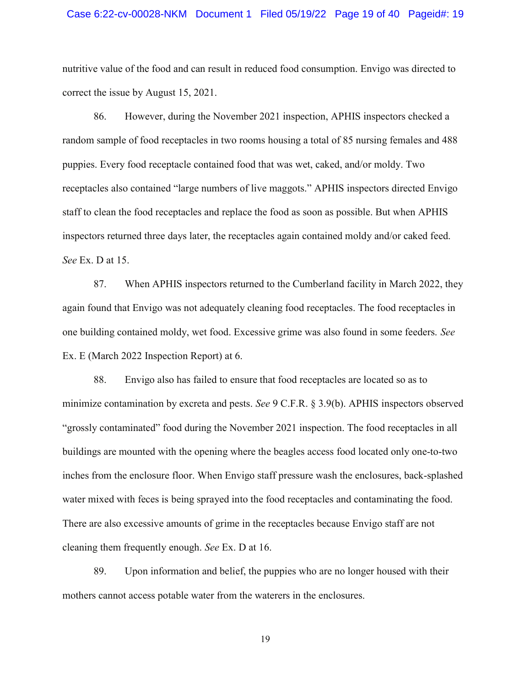#### Case 6:22-cv-00028-NKM Document 1 Filed 05/19/22 Page 19 of 40 Pageid#: 19

nutritive value of the food and can result in reduced food consumption. Envigo was directed to correct the issue by August 15, 2021.

86. However, during the November 2021 inspection, APHIS inspectors checked a random sample of food receptacles in two rooms housing a total of 85 nursing females and 488 puppies. Every food receptacle contained food that was wet, caked, and/or moldy. Two receptacles also contained "large numbers of live maggots." APHIS inspectors directed Envigo staff to clean the food receptacles and replace the food as soon as possible. But when APHIS inspectors returned three days later, the receptacles again contained moldy and/or caked feed. *See* Ex. D at 15.

87. When APHIS inspectors returned to the Cumberland facility in March 2022, they again found that Envigo was not adequately cleaning food receptacles. The food receptacles in one building contained moldy, wet food. Excessive grime was also found in some feeders. *See*  Ex. E (March 2022 Inspection Report) at 6.

88. Envigo also has failed to ensure that food receptacles are located so as to minimize contamination by excreta and pests. *See* 9 C.F.R. § 3.9(b). APHIS inspectors observed "grossly contaminated" food during the November 2021 inspection. The food receptacles in all buildings are mounted with the opening where the beagles access food located only one-to-two inches from the enclosure floor. When Envigo staff pressure wash the enclosures, back-splashed water mixed with feces is being sprayed into the food receptacles and contaminating the food. There are also excessive amounts of grime in the receptacles because Envigo staff are not cleaning them frequently enough. *See* Ex. D at 16.

89. Upon information and belief, the puppies who are no longer housed with their mothers cannot access potable water from the waterers in the enclosures.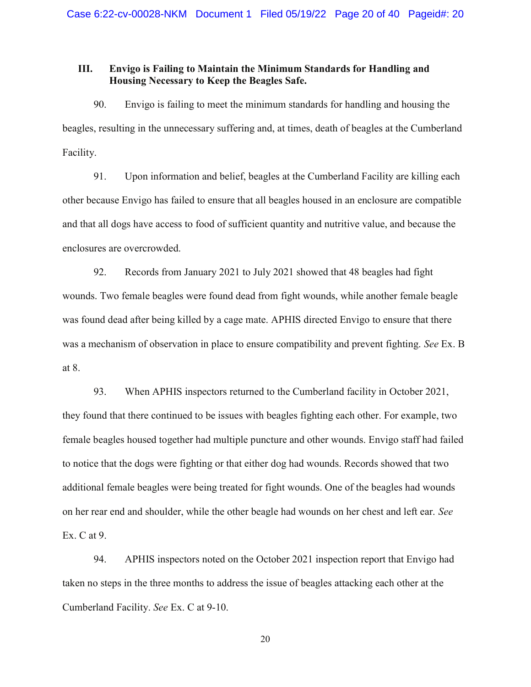## III. Envigo is Failing to Maintain the Minimum Standards for Handling and Housing Necessary to Keep the Beagles Safe.

90. Envigo is failing to meet the minimum standards for handling and housing the beagles, resulting in the unnecessary suffering and, at times, death of beagles at the Cumberland Facility.

91. Upon information and belief, beagles at the Cumberland Facility are killing each other because Envigo has failed to ensure that all beagles housed in an enclosure are compatible and that all dogs have access to food of sufficient quantity and nutritive value, and because the enclosures are overcrowded.

92. Records from January 2021 to July 2021 showed that 48 beagles had fight wounds. Two female beagles were found dead from fight wounds, while another female beagle was found dead after being killed by a cage mate. APHIS directed Envigo to ensure that there was a mechanism of observation in place to ensure compatibility and prevent fighting. *See* Ex. B at 8.

93. When APHIS inspectors returned to the Cumberland facility in October 2021, they found that there continued to be issues with beagles fighting each other. For example, two female beagles housed together had multiple puncture and other wounds. Envigo staff had failed to notice that the dogs were fighting or that either dog had wounds. Records showed that two additional female beagles were being treated for fight wounds. One of the beagles had wounds on her rear end and shoulder, while the other beagle had wounds on her chest and left ear. *See*  Ex. C at 9.

94. APHIS inspectors noted on the October 2021 inspection report that Envigo had taken no steps in the three months to address the issue of beagles attacking each other at the Cumberland Facility. *See* Ex. C at 9-10.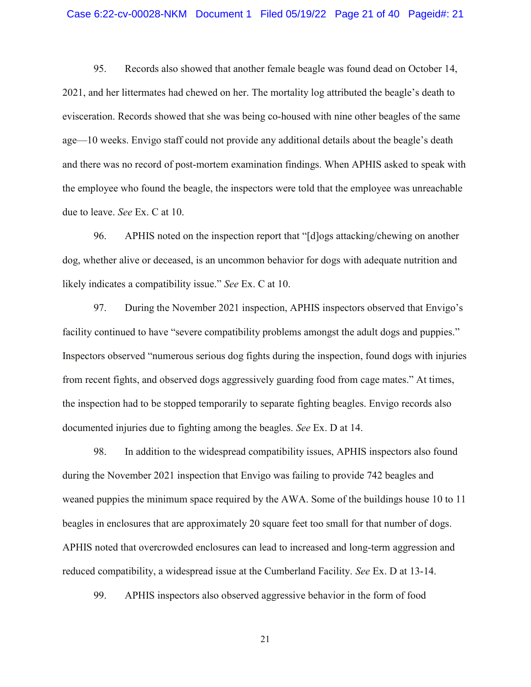#### Case 6:22-cv-00028-NKM Document 1 Filed 05/19/22 Page 21 of 40 Pageid#: 21

95. Records also showed that another female beagle was found dead on October 14, 2021, and her littermates had chewed on her. The mortality log attributed the beagle's death to evisceration. Records showed that she was being co-housed with nine other beagles of the same age—10 weeks. Envigo staff could not provide any additional details about the beagle's death and there was no record of post-mortem examination findings. When APHIS asked to speak with the employee who found the beagle, the inspectors were told that the employee was unreachable due to leave. *See* Ex. C at 10.

96. APHIS noted on the inspection report that "[d]ogs attacking/chewing on another dog, whether alive or deceased, is an uncommon behavior for dogs with adequate nutrition and likely indicates a compatibility issue." *See* Ex. C at 10.

97. During the November 2021 inspection, APHIS inspectors observed that Envigo's facility continued to have "severe compatibility problems amongst the adult dogs and puppies." Inspectors observed "numerous serious dog fights during the inspection, found dogs with injuries from recent fights, and observed dogs aggressively guarding food from cage mates." At times, the inspection had to be stopped temporarily to separate fighting beagles. Envigo records also documented injuries due to fighting among the beagles. *See* Ex. D at 14.

98. In addition to the widespread compatibility issues, APHIS inspectors also found during the November 2021 inspection that Envigo was failing to provide 742 beagles and weaned puppies the minimum space required by the AWA. Some of the buildings house 10 to 11 beagles in enclosures that are approximately 20 square feet too small for that number of dogs. APHIS noted that overcrowded enclosures can lead to increased and long-term aggression and reduced compatibility, a widespread issue at the Cumberland Facility. *See* Ex. D at 13-14.

99. APHIS inspectors also observed aggressive behavior in the form of food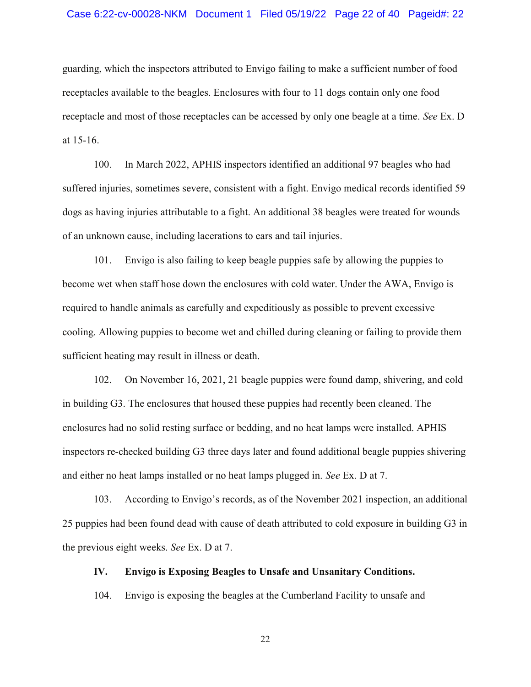#### Case 6:22-cv-00028-NKM Document 1 Filed 05/19/22 Page 22 of 40 Pageid#: 22

guarding, which the inspectors attributed to Envigo failing to make a sufficient number of food receptacles available to the beagles. Enclosures with four to 11 dogs contain only one food receptacle and most of those receptacles can be accessed by only one beagle at a time. *See* Ex. D at 15-16.

100. In March 2022, APHIS inspectors identified an additional 97 beagles who had suffered injuries, sometimes severe, consistent with a fight. Envigo medical records identified 59 dogs as having injuries attributable to a fight. An additional 38 beagles were treated for wounds of an unknown cause, including lacerations to ears and tail injuries.

101. Envigo is also failing to keep beagle puppies safe by allowing the puppies to become wet when staff hose down the enclosures with cold water. Under the AWA, Envigo is required to handle animals as carefully and expeditiously as possible to prevent excessive cooling. Allowing puppies to become wet and chilled during cleaning or failing to provide them sufficient heating may result in illness or death.

102. On November 16, 2021, 21 beagle puppies were found damp, shivering, and cold in building G3. The enclosures that housed these puppies had recently been cleaned. The enclosures had no solid resting surface or bedding, and no heat lamps were installed. APHIS inspectors re-checked building G3 three days later and found additional beagle puppies shivering and either no heat lamps installed or no heat lamps plugged in. *See* Ex. D at 7.

103. According to Envigo's records, as of the November 2021 inspection, an additional 25 puppies had been found dead with cause of death attributed to cold exposure in building G3 in the previous eight weeks. *See* Ex. D at 7.

#### IV. Envigo is Exposing Beagles to Unsafe and Unsanitary Conditions.

104. Envigo is exposing the beagles at the Cumberland Facility to unsafe and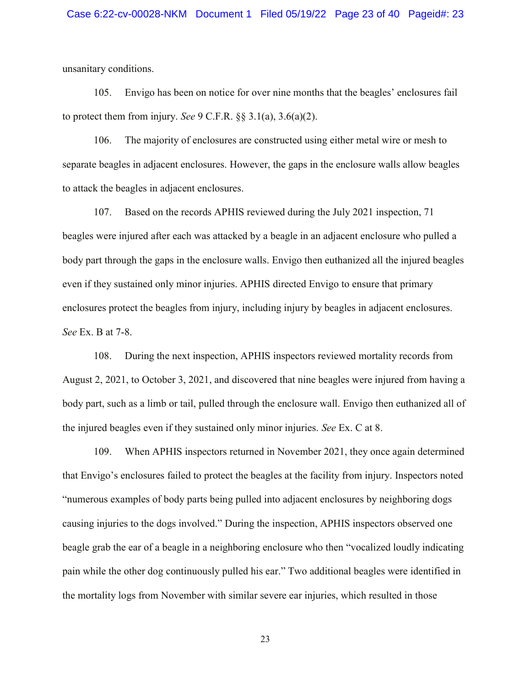unsanitary conditions.

105. Envigo has been on notice for over nine months that the beagles' enclosures fail to protect them from injury. *See* 9 C.F.R. §§ 3.1(a), 3.6(a)(2).

106. The majority of enclosures are constructed using either metal wire or mesh to separate beagles in adjacent enclosures. However, the gaps in the enclosure walls allow beagles to attack the beagles in adjacent enclosures.

107. Based on the records APHIS reviewed during the July 2021 inspection, 71 beagles were injured after each was attacked by a beagle in an adjacent enclosure who pulled a body part through the gaps in the enclosure walls. Envigo then euthanized all the injured beagles even if they sustained only minor injuries. APHIS directed Envigo to ensure that primary enclosures protect the beagles from injury, including injury by beagles in adjacent enclosures. *See* Ex. B at 7-8.

108. During the next inspection, APHIS inspectors reviewed mortality records from August 2, 2021, to October 3, 2021, and discovered that nine beagles were injured from having a body part, such as a limb or tail, pulled through the enclosure wall. Envigo then euthanized all of the injured beagles even if they sustained only minor injuries. *See* Ex. C at 8.

109. When APHIS inspectors returned in November 2021, they once again determined that Envigo's enclosures failed to protect the beagles at the facility from injury. Inspectors noted "numerous examples of body parts being pulled into adjacent enclosures by neighboring dogs causing injuries to the dogs involved." During the inspection, APHIS inspectors observed one beagle grab the ear of a beagle in a neighboring enclosure who then "vocalized loudly indicating pain while the other dog continuously pulled his ear." Two additional beagles were identified in the mortality logs from November with similar severe ear injuries, which resulted in those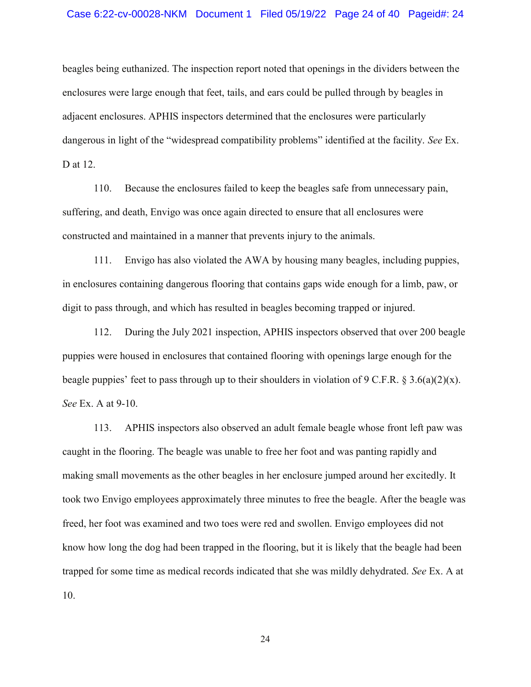beagles being euthanized. The inspection report noted that openings in the dividers between the enclosures were large enough that feet, tails, and ears could be pulled through by beagles in adjacent enclosures. APHIS inspectors determined that the enclosures were particularly dangerous in light of the "widespread compatibility problems" identified at the facility. *See* Ex. D at 12.

110. Because the enclosures failed to keep the beagles safe from unnecessary pain, suffering, and death, Envigo was once again directed to ensure that all enclosures were constructed and maintained in a manner that prevents injury to the animals.

111. Envigo has also violated the AWA by housing many beagles, including puppies, in enclosures containing dangerous flooring that contains gaps wide enough for a limb, paw, or digit to pass through, and which has resulted in beagles becoming trapped or injured.

112. During the July 2021 inspection, APHIS inspectors observed that over 200 beagle puppies were housed in enclosures that contained flooring with openings large enough for the beagle puppies' feet to pass through up to their shoulders in violation of 9 C.F.R. § 3.6(a)(2)(x). *See* Ex. A at 9-10.

113. APHIS inspectors also observed an adult female beagle whose front left paw was caught in the flooring. The beagle was unable to free her foot and was panting rapidly and making small movements as the other beagles in her enclosure jumped around her excitedly. It took two Envigo employees approximately three minutes to free the beagle. After the beagle was freed, her foot was examined and two toes were red and swollen. Envigo employees did not know how long the dog had been trapped in the flooring, but it is likely that the beagle had been trapped for some time as medical records indicated that she was mildly dehydrated. *See* Ex. A at 10.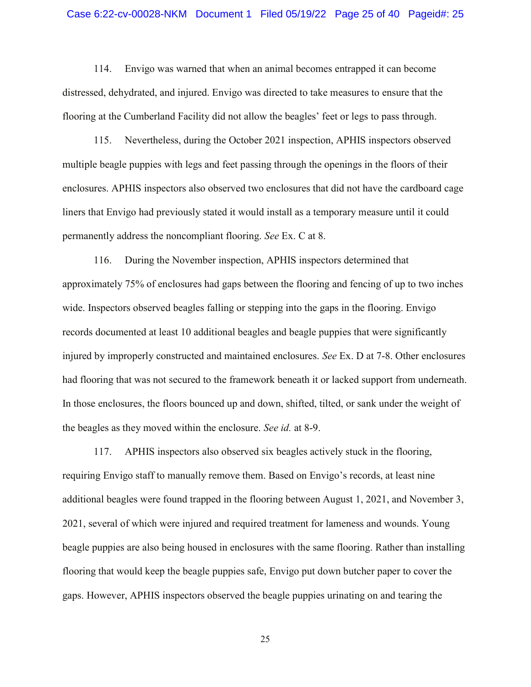114. Envigo was warned that when an animal becomes entrapped it can become distressed, dehydrated, and injured. Envigo was directed to take measures to ensure that the flooring at the Cumberland Facility did not allow the beagles' feet or legs to pass through.

115. Nevertheless, during the October 2021 inspection, APHIS inspectors observed multiple beagle puppies with legs and feet passing through the openings in the floors of their enclosures. APHIS inspectors also observed two enclosures that did not have the cardboard cage liners that Envigo had previously stated it would install as a temporary measure until it could permanently address the noncompliant flooring. *See* Ex. C at 8.

116. During the November inspection, APHIS inspectors determined that approximately 75% of enclosures had gaps between the flooring and fencing of up to two inches wide. Inspectors observed beagles falling or stepping into the gaps in the flooring. Envigo records documented at least 10 additional beagles and beagle puppies that were significantly injured by improperly constructed and maintained enclosures. *See* Ex. D at 7-8. Other enclosures had flooring that was not secured to the framework beneath it or lacked support from underneath. In those enclosures, the floors bounced up and down, shifted, tilted, or sank under the weight of the beagles as they moved within the enclosure. *See id.* at 8-9.

117. APHIS inspectors also observed six beagles actively stuck in the flooring, requiring Envigo staff to manually remove them. Based on Envigo's records, at least nine additional beagles were found trapped in the flooring between August 1, 2021, and November 3, 2021, several of which were injured and required treatment for lameness and wounds. Young beagle puppies are also being housed in enclosures with the same flooring. Rather than installing flooring that would keep the beagle puppies safe, Envigo put down butcher paper to cover the gaps. However, APHIS inspectors observed the beagle puppies urinating on and tearing the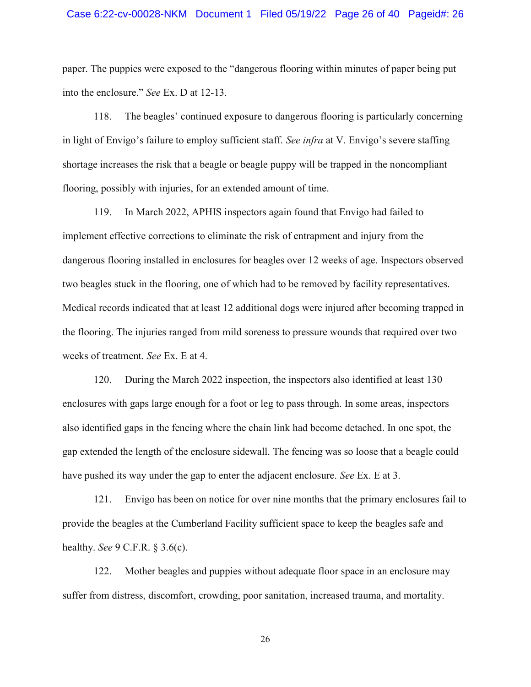paper. The puppies were exposed to the "dangerous flooring within minutes of paper being put into the enclosure." *See* Ex. D at 12-13.

118. The beagles' continued exposure to dangerous flooring is particularly concerning in light of Envigo's failure to employ sufficient staff. *See infra* at V. Envigo's severe staffing shortage increases the risk that a beagle or beagle puppy will be trapped in the noncompliant flooring, possibly with injuries, for an extended amount of time.

119. In March 2022, APHIS inspectors again found that Envigo had failed to implement effective corrections to eliminate the risk of entrapment and injury from the dangerous flooring installed in enclosures for beagles over 12 weeks of age. Inspectors observed two beagles stuck in the flooring, one of which had to be removed by facility representatives. Medical records indicated that at least 12 additional dogs were injured after becoming trapped in the flooring. The injuries ranged from mild soreness to pressure wounds that required over two weeks of treatment. *See* Ex. E at 4.

120. During the March 2022 inspection, the inspectors also identified at least 130 enclosures with gaps large enough for a foot or leg to pass through. In some areas, inspectors also identified gaps in the fencing where the chain link had become detached. In one spot, the gap extended the length of the enclosure sidewall. The fencing was so loose that a beagle could have pushed its way under the gap to enter the adjacent enclosure. *See* Ex. E at 3.

121. Envigo has been on notice for over nine months that the primary enclosures fail to provide the beagles at the Cumberland Facility sufficient space to keep the beagles safe and healthy. *See* 9 C.F.R. § 3.6(c).

122. Mother beagles and puppies without adequate floor space in an enclosure may suffer from distress, discomfort, crowding, poor sanitation, increased trauma, and mortality.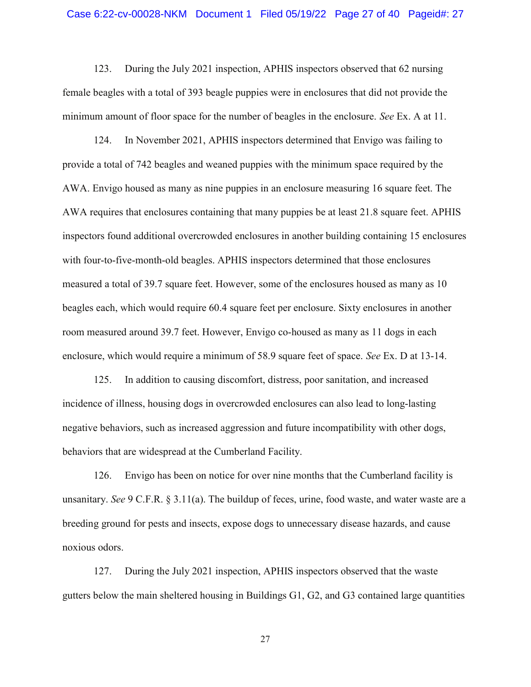123. During the July 2021 inspection, APHIS inspectors observed that 62 nursing female beagles with a total of 393 beagle puppies were in enclosures that did not provide the minimum amount of floor space for the number of beagles in the enclosure. *See* Ex. A at 11.

124. In November 2021, APHIS inspectors determined that Envigo was failing to provide a total of 742 beagles and weaned puppies with the minimum space required by the AWA. Envigo housed as many as nine puppies in an enclosure measuring 16 square feet. The AWA requires that enclosures containing that many puppies be at least 21.8 square feet. APHIS inspectors found additional overcrowded enclosures in another building containing 15 enclosures with four-to-five-month-old beagles. APHIS inspectors determined that those enclosures measured a total of 39.7 square feet. However, some of the enclosures housed as many as 10 beagles each, which would require 60.4 square feet per enclosure. Sixty enclosures in another room measured around 39.7 feet. However, Envigo co-housed as many as 11 dogs in each enclosure, which would require a minimum of 58.9 square feet of space. *See* Ex. D at 13-14.

125. In addition to causing discomfort, distress, poor sanitation, and increased incidence of illness, housing dogs in overcrowded enclosures can also lead to long-lasting negative behaviors, such as increased aggression and future incompatibility with other dogs, behaviors that are widespread at the Cumberland Facility.

126. Envigo has been on notice for over nine months that the Cumberland facility is unsanitary. *See* 9 C.F.R. § 3.11(a). The buildup of feces, urine, food waste, and water waste are a breeding ground for pests and insects, expose dogs to unnecessary disease hazards, and cause noxious odors.

127. During the July 2021 inspection, APHIS inspectors observed that the waste gutters below the main sheltered housing in Buildings G1, G2, and G3 contained large quantities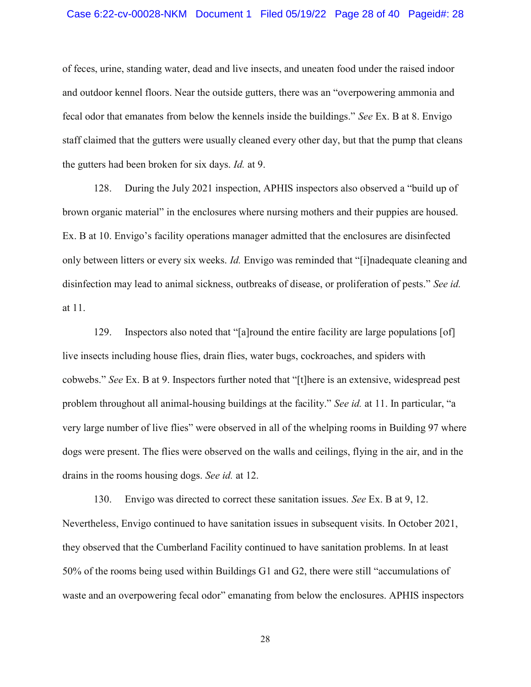#### Case 6:22-cv-00028-NKM Document 1 Filed 05/19/22 Page 28 of 40 Pageid#: 28

of feces, urine, standing water, dead and live insects, and uneaten food under the raised indoor and outdoor kennel floors. Near the outside gutters, there was an "overpowering ammonia and fecal odor that emanates from below the kennels inside the buildings." *See* Ex. B at 8. Envigo staff claimed that the gutters were usually cleaned every other day, but that the pump that cleans the gutters had been broken for six days. *Id.* at 9.

128. During the July 2021 inspection, APHIS inspectors also observed a "build up of brown organic material" in the enclosures where nursing mothers and their puppies are housed. Ex. B at 10. Envigo's facility operations manager admitted that the enclosures are disinfected only between litters or every six weeks. *Id.* Envigo was reminded that "[i]nadequate cleaning and disinfection may lead to animal sickness, outbreaks of disease, or proliferation of pests." *See id.*  at 11.

129. Inspectors also noted that "[a]round the entire facility are large populations [of] live insects including house flies, drain flies, water bugs, cockroaches, and spiders with cobwebs." *See* Ex. B at 9. Inspectors further noted that "[t]here is an extensive, widespread pest problem throughout all animal-housing buildings at the facility." *See id.* at 11. In particular, "a very large number of live flies" were observed in all of the whelping rooms in Building 97 where dogs were present. The flies were observed on the walls and ceilings, flying in the air, and in the drains in the rooms housing dogs. *See id.* at 12.

130. Envigo was directed to correct these sanitation issues. *See* Ex. B at 9, 12. Nevertheless, Envigo continued to have sanitation issues in subsequent visits. In October 2021, they observed that the Cumberland Facility continued to have sanitation problems. In at least 50% of the rooms being used within Buildings G1 and G2, there were still "accumulations of waste and an overpowering fecal odor" emanating from below the enclosures. APHIS inspectors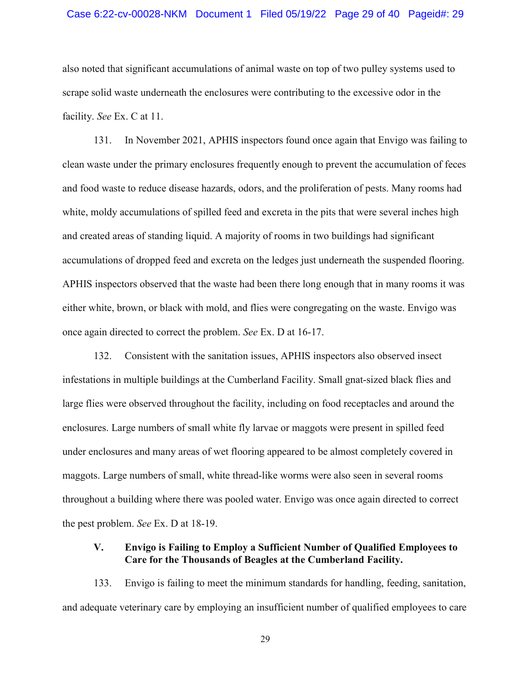#### Case 6:22-cv-00028-NKM Document 1 Filed 05/19/22 Page 29 of 40 Pageid#: 29

also noted that significant accumulations of animal waste on top of two pulley systems used to scrape solid waste underneath the enclosures were contributing to the excessive odor in the facility. *See* Ex. C at 11.

131. In November 2021, APHIS inspectors found once again that Envigo was failing to clean waste under the primary enclosures frequently enough to prevent the accumulation of feces and food waste to reduce disease hazards, odors, and the proliferation of pests. Many rooms had white, moldy accumulations of spilled feed and excreta in the pits that were several inches high and created areas of standing liquid. A majority of rooms in two buildings had significant accumulations of dropped feed and excreta on the ledges just underneath the suspended flooring. APHIS inspectors observed that the waste had been there long enough that in many rooms it was either white, brown, or black with mold, and flies were congregating on the waste. Envigo was once again directed to correct the problem. *See* Ex. D at 16-17.

132. Consistent with the sanitation issues, APHIS inspectors also observed insect infestations in multiple buildings at the Cumberland Facility. Small gnat-sized black flies and large flies were observed throughout the facility, including on food receptacles and around the enclosures. Large numbers of small white fly larvae or maggots were present in spilled feed under enclosures and many areas of wet flooring appeared to be almost completely covered in maggots. Large numbers of small, white thread-like worms were also seen in several rooms throughout a building where there was pooled water. Envigo was once again directed to correct the pest problem. *See* Ex. D at 18-19.

## V. Envigo is Failing to Employ a Sufficient Number of Qualified Employees to Care for the Thousands of Beagles at the Cumberland Facility.

133. Envigo is failing to meet the minimum standards for handling, feeding, sanitation, and adequate veterinary care by employing an insufficient number of qualified employees to care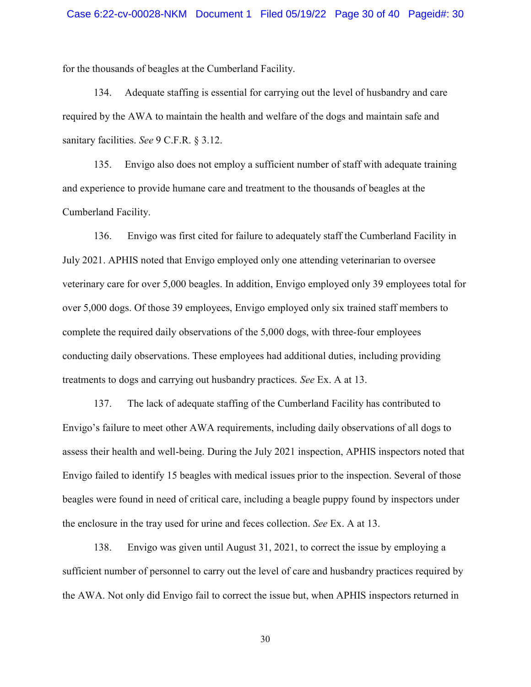for the thousands of beagles at the Cumberland Facility.

134. Adequate staffing is essential for carrying out the level of husbandry and care required by the AWA to maintain the health and welfare of the dogs and maintain safe and sanitary facilities. *See* 9 C.F.R. § 3.12.

135. Envigo also does not employ a sufficient number of staff with adequate training and experience to provide humane care and treatment to the thousands of beagles at the Cumberland Facility.

136. Envigo was first cited for failure to adequately staff the Cumberland Facility in July 2021. APHIS noted that Envigo employed only one attending veterinarian to oversee veterinary care for over 5,000 beagles. In addition, Envigo employed only 39 employees total for over 5,000 dogs. Of those 39 employees, Envigo employed only six trained staff members to complete the required daily observations of the 5,000 dogs, with three-four employees conducting daily observations. These employees had additional duties, including providing treatments to dogs and carrying out husbandry practices. *See* Ex. A at 13.

137. The lack of adequate staffing of the Cumberland Facility has contributed to Envigo's failure to meet other AWA requirements, including daily observations of all dogs to assess their health and well-being. During the July 2021 inspection, APHIS inspectors noted that Envigo failed to identify 15 beagles with medical issues prior to the inspection. Several of those beagles were found in need of critical care, including a beagle puppy found by inspectors under the enclosure in the tray used for urine and feces collection. *See* Ex. A at 13.

138. Envigo was given until August 31, 2021, to correct the issue by employing a sufficient number of personnel to carry out the level of care and husbandry practices required by the AWA. Not only did Envigo fail to correct the issue but, when APHIS inspectors returned in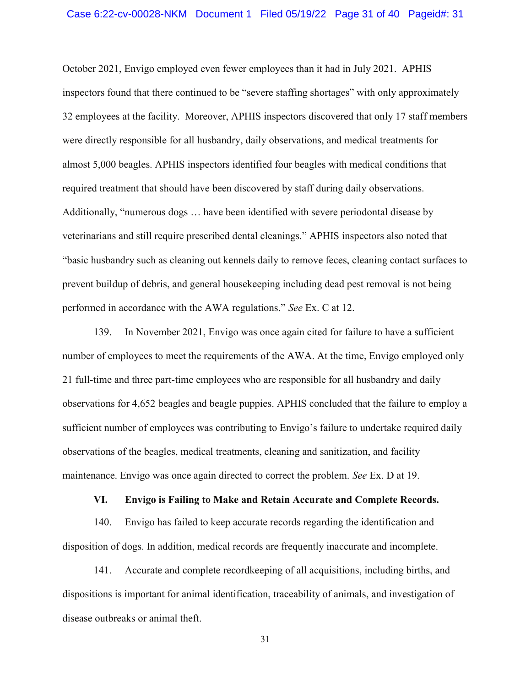October 2021, Envigo employed even fewer employees than it had in July 2021. APHIS inspectors found that there continued to be "severe staffing shortages" with only approximately 32 employees at the facility. Moreover, APHIS inspectors discovered that only 17 staff members were directly responsible for all husbandry, daily observations, and medical treatments for almost 5,000 beagles. APHIS inspectors identified four beagles with medical conditions that required treatment that should have been discovered by staff during daily observations. Additionally, "numerous dogs … have been identified with severe periodontal disease by veterinarians and still require prescribed dental cleanings." APHIS inspectors also noted that "basic husbandry such as cleaning out kennels daily to remove feces, cleaning contact surfaces to prevent buildup of debris, and general housekeeping including dead pest removal is not being performed in accordance with the AWA regulations." *See* Ex. C at 12.

139. In November 2021, Envigo was once again cited for failure to have a sufficient number of employees to meet the requirements of the AWA. At the time, Envigo employed only 21 full-time and three part-time employees who are responsible for all husbandry and daily observations for 4,652 beagles and beagle puppies. APHIS concluded that the failure to employ a sufficient number of employees was contributing to Envigo's failure to undertake required daily observations of the beagles, medical treatments, cleaning and sanitization, and facility maintenance. Envigo was once again directed to correct the problem. *See* Ex. D at 19.

#### VI. Envigo is Failing to Make and Retain Accurate and Complete Records.

140. Envigo has failed to keep accurate records regarding the identification and disposition of dogs. In addition, medical records are frequently inaccurate and incomplete.

141. Accurate and complete recordkeeping of all acquisitions, including births, and dispositions is important for animal identification, traceability of animals, and investigation of disease outbreaks or animal theft.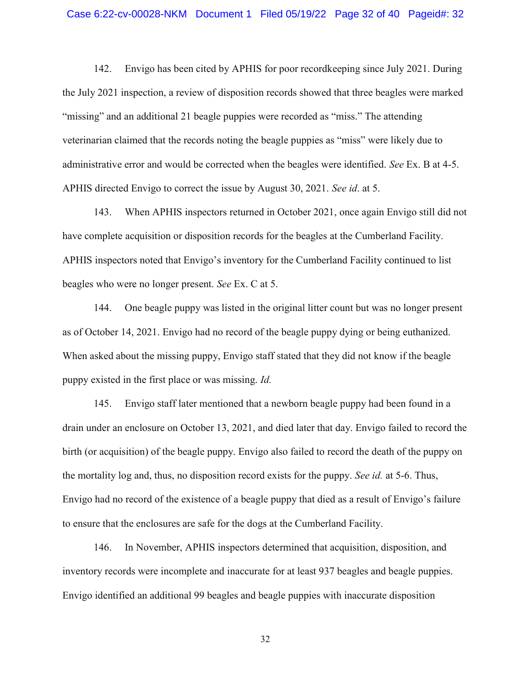142. Envigo has been cited by APHIS for poor recordkeeping since July 2021. During the July 2021 inspection, a review of disposition records showed that three beagles were marked "missing" and an additional 21 beagle puppies were recorded as "miss." The attending veterinarian claimed that the records noting the beagle puppies as "miss" were likely due to administrative error and would be corrected when the beagles were identified. *See* Ex. B at 4-5. APHIS directed Envigo to correct the issue by August 30, 2021. *See id*. at 5.

143. When APHIS inspectors returned in October 2021, once again Envigo still did not have complete acquisition or disposition records for the beagles at the Cumberland Facility. APHIS inspectors noted that Envigo's inventory for the Cumberland Facility continued to list beagles who were no longer present. *See* Ex. C at 5.

144. One beagle puppy was listed in the original litter count but was no longer present as of October 14, 2021. Envigo had no record of the beagle puppy dying or being euthanized. When asked about the missing puppy, Envigo staff stated that they did not know if the beagle puppy existed in the first place or was missing. *Id.*

145. Envigo staff later mentioned that a newborn beagle puppy had been found in a drain under an enclosure on October 13, 2021, and died later that day. Envigo failed to record the birth (or acquisition) of the beagle puppy. Envigo also failed to record the death of the puppy on the mortality log and, thus, no disposition record exists for the puppy. *See id.* at 5-6. Thus, Envigo had no record of the existence of a beagle puppy that died as a result of Envigo's failure to ensure that the enclosures are safe for the dogs at the Cumberland Facility.

146. In November, APHIS inspectors determined that acquisition, disposition, and inventory records were incomplete and inaccurate for at least 937 beagles and beagle puppies. Envigo identified an additional 99 beagles and beagle puppies with inaccurate disposition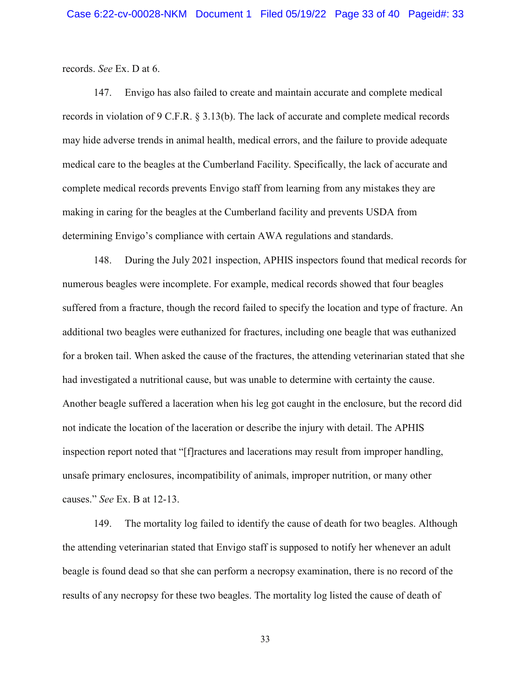records. *See* Ex. D at 6.

147. Envigo has also failed to create and maintain accurate and complete medical records in violation of 9 C.F.R. § 3.13(b). The lack of accurate and complete medical records may hide adverse trends in animal health, medical errors, and the failure to provide adequate medical care to the beagles at the Cumberland Facility. Specifically, the lack of accurate and complete medical records prevents Envigo staff from learning from any mistakes they are making in caring for the beagles at the Cumberland facility and prevents USDA from determining Envigo's compliance with certain AWA regulations and standards.

148. During the July 2021 inspection, APHIS inspectors found that medical records for numerous beagles were incomplete. For example, medical records showed that four beagles suffered from a fracture, though the record failed to specify the location and type of fracture. An additional two beagles were euthanized for fractures, including one beagle that was euthanized for a broken tail. When asked the cause of the fractures, the attending veterinarian stated that she had investigated a nutritional cause, but was unable to determine with certainty the cause. Another beagle suffered a laceration when his leg got caught in the enclosure, but the record did not indicate the location of the laceration or describe the injury with detail. The APHIS inspection report noted that "[f]ractures and lacerations may result from improper handling, unsafe primary enclosures, incompatibility of animals, improper nutrition, or many other causes." *See* Ex. B at 12-13.

149. The mortality log failed to identify the cause of death for two beagles. Although the attending veterinarian stated that Envigo staff is supposed to notify her whenever an adult beagle is found dead so that she can perform a necropsy examination, there is no record of the results of any necropsy for these two beagles. The mortality log listed the cause of death of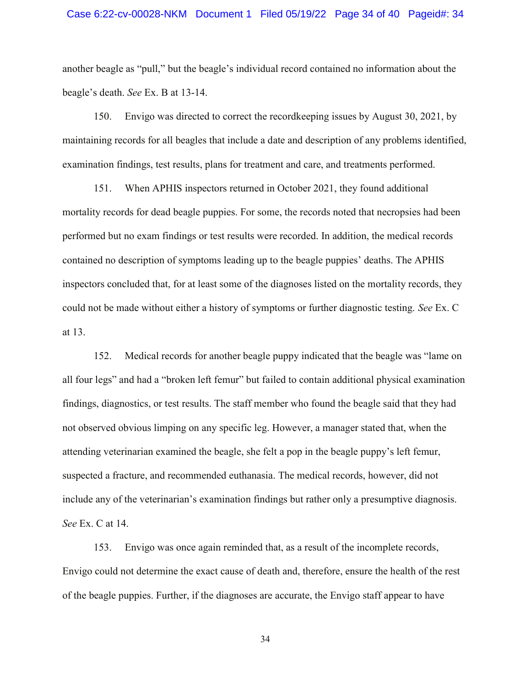#### Case 6:22-cv-00028-NKM Document 1 Filed 05/19/22 Page 34 of 40 Pageid#: 34

another beagle as "pull," but the beagle's individual record contained no information about the beagle's death. *See* Ex. B at 13-14.

150. Envigo was directed to correct the recordkeeping issues by August 30, 2021, by maintaining records for all beagles that include a date and description of any problems identified, examination findings, test results, plans for treatment and care, and treatments performed.

151. When APHIS inspectors returned in October 2021, they found additional mortality records for dead beagle puppies. For some, the records noted that necropsies had been performed but no exam findings or test results were recorded. In addition, the medical records contained no description of symptoms leading up to the beagle puppies' deaths. The APHIS inspectors concluded that, for at least some of the diagnoses listed on the mortality records, they could not be made without either a history of symptoms or further diagnostic testing. *See* Ex. C at 13.

152. Medical records for another beagle puppy indicated that the beagle was "lame on all four legs" and had a "broken left femur" but failed to contain additional physical examination findings, diagnostics, or test results. The staff member who found the beagle said that they had not observed obvious limping on any specific leg. However, a manager stated that, when the attending veterinarian examined the beagle, she felt a pop in the beagle puppy's left femur, suspected a fracture, and recommended euthanasia. The medical records, however, did not include any of the veterinarian's examination findings but rather only a presumptive diagnosis. *See* Ex. C at 14.

153. Envigo was once again reminded that, as a result of the incomplete records, Envigo could not determine the exact cause of death and, therefore, ensure the health of the rest of the beagle puppies. Further, if the diagnoses are accurate, the Envigo staff appear to have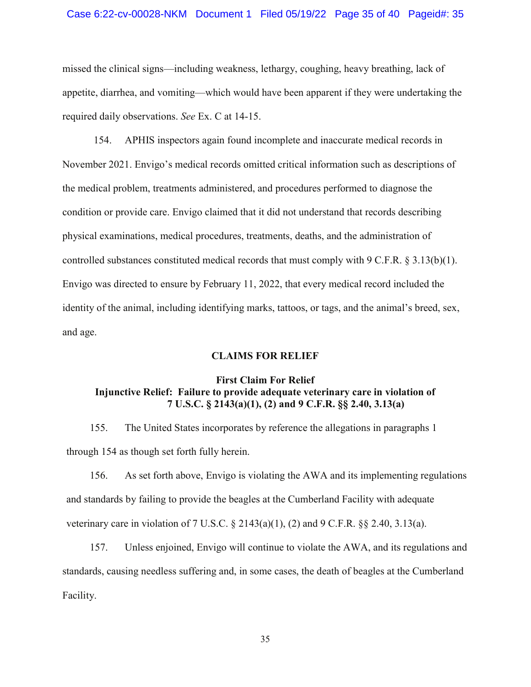#### Case 6:22-cv-00028-NKM Document 1 Filed 05/19/22 Page 35 of 40 Pageid#: 35

missed the clinical signs—including weakness, lethargy, coughing, heavy breathing, lack of appetite, diarrhea, and vomiting—which would have been apparent if they were undertaking the required daily observations. *See* Ex. C at 14-15.

154. APHIS inspectors again found incomplete and inaccurate medical records in November 2021. Envigo's medical records omitted critical information such as descriptions of the medical problem, treatments administered, and procedures performed to diagnose the condition or provide care. Envigo claimed that it did not understand that records describing physical examinations, medical procedures, treatments, deaths, and the administration of controlled substances constituted medical records that must comply with 9 C.F.R.  $\S 3.13(b)(1)$ . Envigo was directed to ensure by February 11, 2022, that every medical record included the identity of the animal, including identifying marks, tattoos, or tags, and the animal's breed, sex, and age.

#### CLAIMS FOR RELIEF

# First Claim For Relief Injunctive Relief: Failure to provide adequate veterinary care in violation of 7 U.S.C. § 2143(a)(1), (2) and 9 C.F.R. §§ 2.40, 3.13(a)

155. The United States incorporates by reference the allegations in paragraphs 1 through 154 as though set forth fully herein.

156. As set forth above, Envigo is violating the AWA and its implementing regulations and standards by failing to provide the beagles at the Cumberland Facility with adequate veterinary care in violation of 7 U.S.C. § 2143(a)(1), (2) and 9 C.F.R. §§ 2.40, 3.13(a).

157. Unless enjoined, Envigo will continue to violate the AWA, and its regulations and standards, causing needless suffering and, in some cases, the death of beagles at the Cumberland Facility.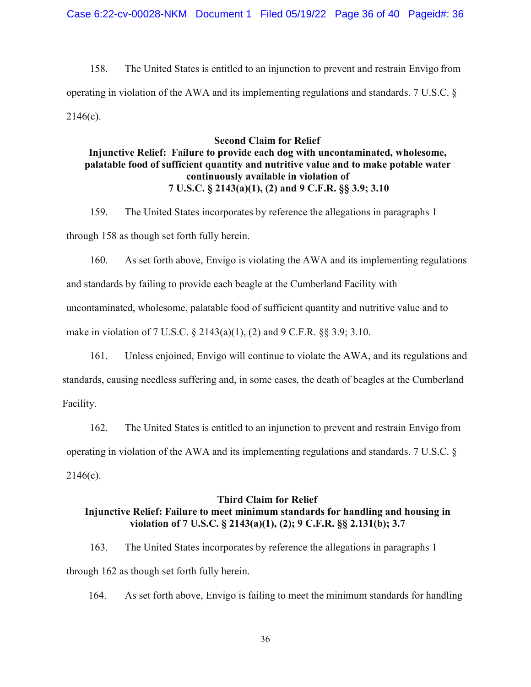158. The United States is entitled to an injunction to prevent and restrain Envigo from operating in violation of the AWA and its implementing regulations and standards. 7 U.S.C. §  $2146(c)$ .

## Second Claim for Relief

# Injunctive Relief: Failure to provide each dog with uncontaminated, wholesome, palatable food of sufficient quantity and nutritive value and to make potable water continuously available in violation of 7 U.S.C. § 2143(a)(1), (2) and 9 C.F.R. §§ 3.9; 3.10

159. The United States incorporates by reference the allegations in paragraphs 1 through 158 as though set forth fully herein.

160. As set forth above, Envigo is violating the AWA and its implementing regulations and standards by failing to provide each beagle at the Cumberland Facility with uncontaminated, wholesome, palatable food of sufficient quantity and nutritive value and to make in violation of 7 U.S.C. § 2143(a)(1), (2) and 9 C.F.R. §§ 3.9; 3.10.

161. Unless enjoined, Envigo will continue to violate the AWA, and its regulations and standards, causing needless suffering and, in some cases, the death of beagles at the Cumberland Facility.

162. The United States is entitled to an injunction to prevent and restrain Envigo from operating in violation of the AWA and its implementing regulations and standards. 7 U.S.C. §  $2146(c)$ .

### Third Claim for Relief

# Injunctive Relief: Failure to meet minimum standards for handling and housing in violation of 7 U.S.C. § 2143(a)(1), (2); 9 C.F.R. §§ 2.131(b); 3.7

163. The United States incorporates by reference the allegations in paragraphs 1 through 162 as though set forth fully herein.

164. As set forth above, Envigo is failing to meet the minimum standards for handling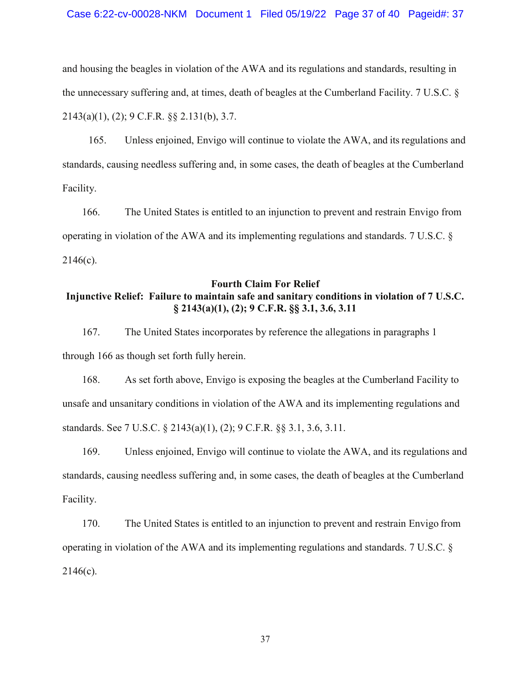and housing the beagles in violation of the AWA and its regulations and standards, resulting in the unnecessary suffering and, at times, death of beagles at the Cumberland Facility. 7 U.S.C. § 2143(a)(1), (2); 9 C.F.R. §§ 2.131(b), 3.7.

165. Unless enjoined, Envigo will continue to violate the AWA, and its regulations and standards, causing needless suffering and, in some cases, the death of beagles at the Cumberland Facility.

166. The United States is entitled to an injunction to prevent and restrain Envigo from operating in violation of the AWA and its implementing regulations and standards. 7 U.S.C. §  $2146(c)$ .

# Fourth Claim For Relief Injunctive Relief: Failure to maintain safe and sanitary conditions in violation of 7 U.S.C. § 2143(a)(1), (2); 9 C.F.R. §§ 3.1, 3.6, 3.11

167. The United States incorporates by reference the allegations in paragraphs 1 through 166 as though set forth fully herein.

168. As set forth above, Envigo is exposing the beagles at the Cumberland Facility to unsafe and unsanitary conditions in violation of the AWA and its implementing regulations and standards. See 7 U.S.C. § 2143(a)(1), (2); 9 C.F.R. §§ 3.1, 3.6, 3.11.

169. Unless enjoined, Envigo will continue to violate the AWA, and its regulations and standards, causing needless suffering and, in some cases, the death of beagles at the Cumberland Facility.

170. The United States is entitled to an injunction to prevent and restrain Envigo from operating in violation of the AWA and its implementing regulations and standards. 7 U.S.C. §  $2146(c)$ .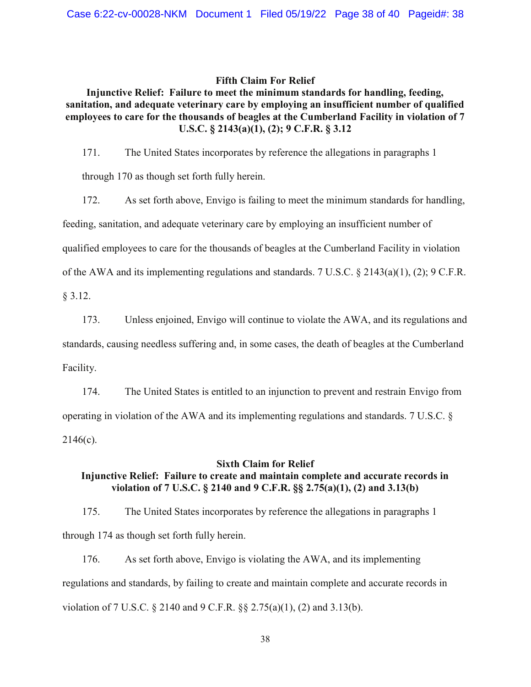### Fifth Claim For Relief

# Injunctive Relief: Failure to meet the minimum standards for handling, feeding, sanitation, and adequate veterinary care by employing an insufficient number of qualified employees to care for the thousands of beagles at the Cumberland Facility in violation of 7 U.S.C. § 2143(a)(1), (2); 9 C.F.R. § 3.12

171. The United States incorporates by reference the allegations in paragraphs 1

through 170 as though set forth fully herein.

172. As set forth above, Envigo is failing to meet the minimum standards for handling,

feeding, sanitation, and adequate veterinary care by employing an insufficient number of

qualified employees to care for the thousands of beagles at the Cumberland Facility in violation

of the AWA and its implementing regulations and standards. 7 U.S.C. § 2143(a)(1), (2); 9 C.F.R.

§ 3.12.

173. Unless enjoined, Envigo will continue to violate the AWA, and its regulations and

standards, causing needless suffering and, in some cases, the death of beagles at the Cumberland

Facility.

174. The United States is entitled to an injunction to prevent and restrain Envigo from operating in violation of the AWA and its implementing regulations and standards. 7 U.S.C. §  $2146(c)$ .

### Sixth Claim for Relief

# Injunctive Relief: Failure to create and maintain complete and accurate records in violation of 7 U.S.C. § 2140 and 9 C.F.R. §§ 2.75(a)(1), (2) and 3.13(b)

175. The United States incorporates by reference the allegations in paragraphs 1 through 174 as though set forth fully herein.

176. As set forth above, Envigo is violating the AWA, and its implementing regulations and standards, by failing to create and maintain complete and accurate records in violation of 7 U.S.C. § 2140 and 9 C.F.R. §§ 2.75(a)(1), (2) and 3.13(b).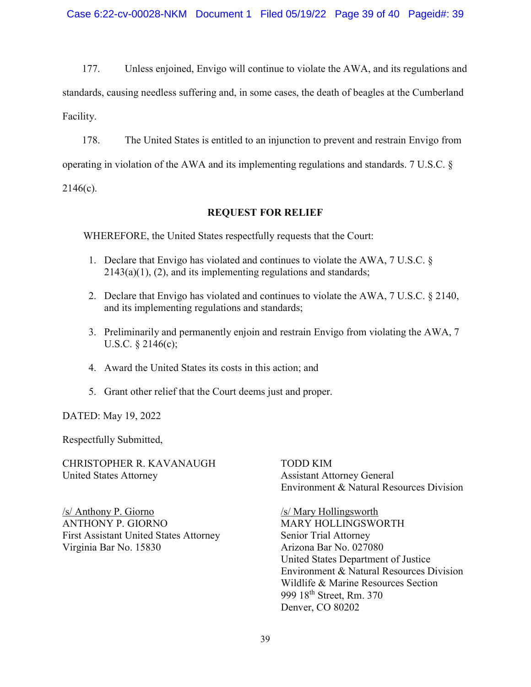177. Unless enjoined, Envigo will continue to violate the AWA, and its regulations and standards, causing needless suffering and, in some cases, the death of beagles at the Cumberland Facility.

178. The United States is entitled to an injunction to prevent and restrain Envigo from

operating in violation of the AWA and its implementing regulations and standards. 7 U.S.C. §

2146(c).

## REQUEST FOR RELIEF

WHEREFORE, the United States respectfully requests that the Court:

- 1. Declare that Envigo has violated and continues to violate the AWA, 7 U.S.C. §  $2143(a)(1)$ ,  $(2)$ , and its implementing regulations and standards;
- 2. Declare that Envigo has violated and continues to violate the AWA, 7 U.S.C. § 2140, and its implementing regulations and standards;
- 3. Preliminarily and permanently enjoin and restrain Envigo from violating the AWA, 7 U.S.C. § 2146(c);
- 4. Award the United States its costs in this action; and
- 5. Grant other relief that the Court deems just and proper.

DATED: May 19, 2022

Respectfully Submitted,

CHRISTOPHER R. KAVANAUGH TODD KIM United States Attorney Assistant Attorney General

/s/ Anthony P. Giorno /s/ Mary Hollingsworth ANTHONY P. GIORNO MARY HOLLINGSWORTH First Assistant United States Attorney Senior Trial Attorney Virginia Bar No. 15830 Arizona Bar No. 027080

Environment & Natural Resources Division

United States Department of Justice Environment & Natural Resources Division Wildlife & Marine Resources Section 999 18<sup>th</sup> Street, Rm. 370 Denver, CO 80202